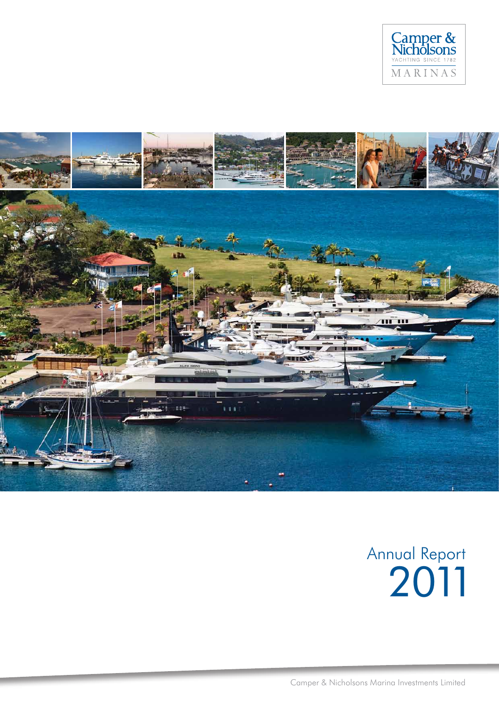



# Annual Report 2011

Camper & Nicholsons Marina Investments Limited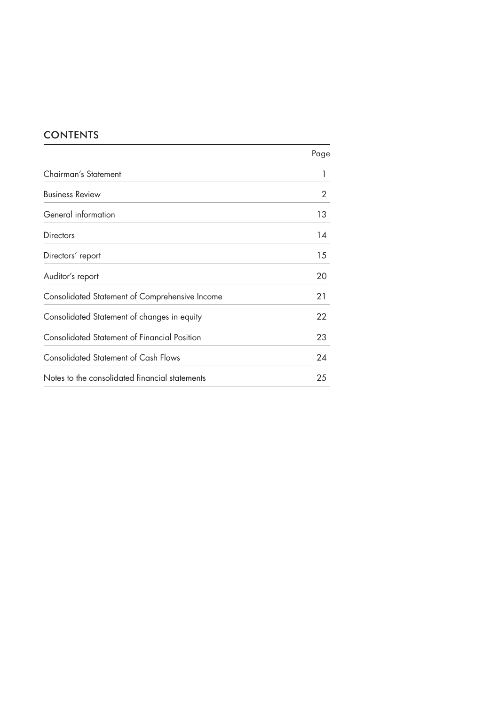# **CONTENTS**

|                                                | Page |
|------------------------------------------------|------|
| Chairman's Statement                           |      |
| <b>Business Review</b>                         | 2    |
| General information                            | 13   |
| Directors                                      | 14   |
| Directors' report                              | 15   |
| Auditor's report                               | 20   |
| Consolidated Statement of Comprehensive Income | 21   |
| Consolidated Statement of changes in equity    | 22   |
| Consolidated Statement of Financial Position   | 23   |
| <b>Consolidated Statement of Cash Flows</b>    | 24   |
| Notes to the consolidated financial statements | 25   |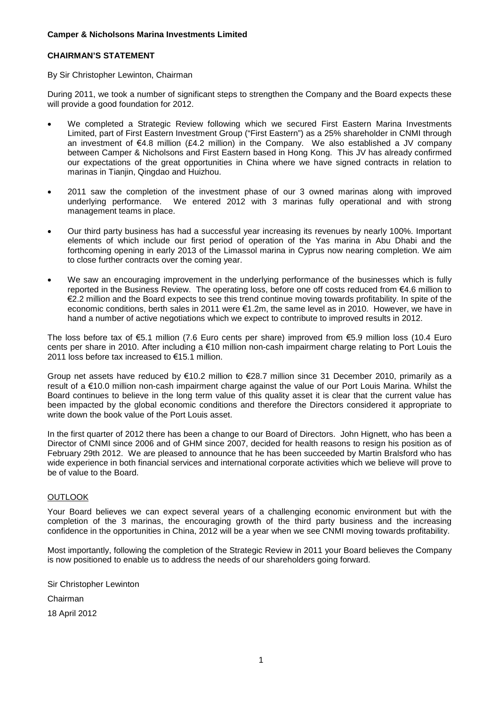## **CHAIRMAN'S STATEMENT**

## By Sir Christopher Lewinton, Chairman

During 2011, we took a number of significant steps to strengthen the Company and the Board expects these will provide a good foundation for 2012.

- We completed a Strategic Review following which we secured First Eastern Marina Investments Limited, part of First Eastern Investment Group ("First Eastern") as a 25% shareholder in CNMI through an investment of  $\epsilon$ 4.8 million (£4.2 million) in the Company. We also established a JV company between Camper & Nicholsons and First Eastern based in Hong Kong. This JV has already confirmed our expectations of the great opportunities in China where we have signed contracts in relation to marinas in Tianiin, Qingdao and Huizhou.
- 2011 saw the completion of the investment phase of our 3 owned marinas along with improved underlying performance. We entered 2012 with 3 marinas fully operational and with strong management teams in place.
- Our third party business has had a successful year increasing its revenues by nearly 100%. Important elements of which include our first period of operation of the Yas marina in Abu Dhabi and the forthcoming opening in early 2013 of the Limassol marina in Cyprus now nearing completion. We aim to close further contracts over the coming year.
- We saw an encouraging improvement in the underlying performance of the businesses which is fully reported in the Business Review. The operating loss, before one off costs reduced from €4.6 million to €2.2 million and the Board expects to see this trend continue moving towards profitability. In spite of the economic conditions, berth sales in 2011 were €1.2m, the same level as in 2010. However, we have in hand a number of active negotiations which we expect to contribute to improved results in 2012.

The loss before tax of €5.1 million (7.6 Euro cents per share) improved from €5.9 million loss (10.4 Euro cents per share in 2010. After including a €10 million non-cash impairment charge relating to Port Louis the 2011 loss before tax increased to €15.1 million.

Group net assets have reduced by €10.2 million to €28.7 million since 31 December 2010, primarily as a result of a €10.0 million non-cash impairment charge against the value of our Port Louis Marina. Whilst the Board continues to believe in the long term value of this quality asset it is clear that the current value has been impacted by the global economic conditions and therefore the Directors considered it appropriate to write down the book value of the Port Louis asset.

In the first quarter of 2012 there has been a change to our Board of Directors. John Hignett, who has been a Director of CNMI since 2006 and of GHM since 2007, decided for health reasons to resign his position as of February 29th 2012. We are pleased to announce that he has been succeeded by Martin Bralsford who has wide experience in both financial services and international corporate activities which we believe will prove to be of value to the Board.

## **OUTLOOK**

Your Board believes we can expect several years of a challenging economic environment but with the completion of the 3 marinas, the encouraging growth of the third party business and the increasing confidence in the opportunities in China, 2012 will be a year when we see CNMI moving towards profitability.

Most importantly, following the completion of the Strategic Review in 2011 your Board believes the Company is now positioned to enable us to address the needs of our shareholders going forward.

Sir Christopher Lewinton Chairman 18 April 2012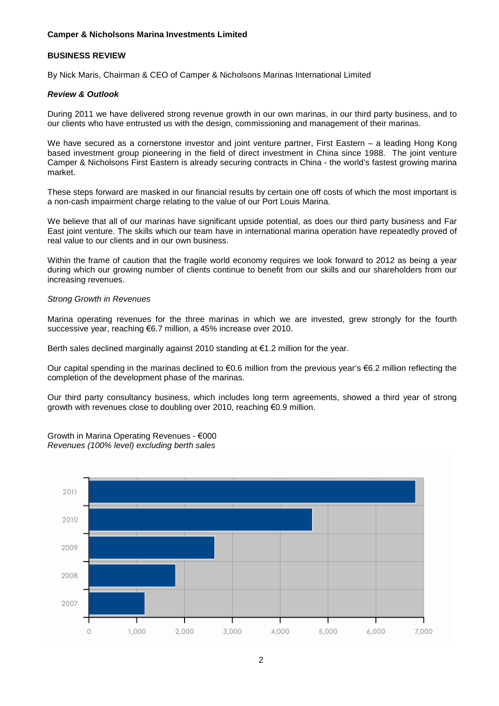## **BUSINESS REVIEW**

By Nick Maris, Chairman & CEO of Camper & Nicholsons Marinas International Limited

## *Review & Outlook*

During 2011 we have delivered strong revenue growth in our own marinas, in our third party business, and to our clients who have entrusted us with the design, commissioning and management of their marinas.

We have secured as a cornerstone investor and joint venture partner. First Eastern – a leading Hong Kong based investment group pioneering in the field of direct investment in China since 1988. The joint venture Camper & Nicholsons First Eastern is already securing contracts in China - the world's fastest growing marina market.

These steps forward are masked in our financial results by certain one off costs of which the most important is a non-cash impairment charge relating to the value of our Port Louis Marina.

We believe that all of our marinas have significant upside potential, as does our third party business and Far East joint venture. The skills which our team have in international marina operation have repeatedly proved of real value to our clients and in our own business.

Within the frame of caution that the fragile world economy requires we look forward to 2012 as being a year during which our growing number of clients continue to benefit from our skills and our shareholders from our increasing revenues.

#### *Strong Growth in Revenues*

Marina operating revenues for the three marinas in which we are invested, grew strongly for the fourth successive year, reaching €6.7 million, a 45% increase over 2010.

Berth sales declined marginally against 2010 standing at  $\epsilon$ 1.2 million for the year.

Our capital spending in the marinas declined to  $\epsilon$ 0.6 million from the previous year's  $\epsilon$ 6.2 million reflecting the completion of the development phase of the marinas.

Our third party consultancy business, which includes long term agreements, showed a third year of strong growth with revenues close to doubling over 2010, reaching €0.9 million.

Growth in Marina Operating Revenues - €000 *Revenues (100% level) excluding berth sales*

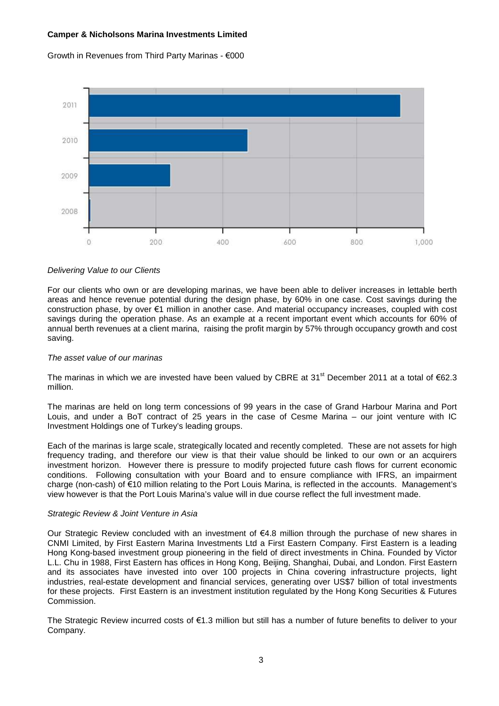

## Growth in Revenues from Third Party Marinas - €000

#### *Delivering Value to our Clients*

For our clients who own or are developing marinas, we have been able to deliver increases in lettable berth areas and hence revenue potential during the design phase, by 60% in one case. Cost savings during the construction phase, by over €1 million in another case. And material occupancy increases, coupled with cost savings during the operation phase. As an example at a recent important event which accounts for 60% of annual berth revenues at a client marina, raising the profit margin by 57% through occupancy growth and cost saving.

#### *The asset value of our marinas*

The marinas in which we are invested have been valued by CBRE at 31<sup>st</sup> December 2011 at a total of €62.3 million.

The marinas are held on long term concessions of 99 years in the case of Grand Harbour Marina and Port Louis, and under a BoT contract of 25 years in the case of Cesme Marina – our joint venture with IC Investment Holdings one of Turkey's leading groups.

Each of the marinas is large scale, strategically located and recently completed. These are not assets for high frequency trading, and therefore our view is that their value should be linked to our own or an acquirers investment horizon. However there is pressure to modify projected future cash flows for current economic conditions. Following consultation with your Board and to ensure compliance with IFRS, an impairment charge (non-cash) of €10 million relating to the Port Louis Marina, is reflected in the accounts. Management's view however is that the Port Louis Marina's value will in due course reflect the full investment made.

#### *Strategic Review & Joint Venture in Asia*

Our Strategic Review concluded with an investment of €4.8 million through the purchase of new shares in CNMI Limited, by First Eastern Marina Investments Ltd a First Eastern Company. First Eastern is a leading Hong Kong-based investment group pioneering in the field of direct investments in China. Founded by Victor L.L. Chu in 1988, First Eastern has offices in Hong Kong, Beijing, Shanghai, Dubai, and London. First Eastern and its associates have invested into over 100 projects in China covering infrastructure projects, light industries, real-estate development and financial services, generating over US\$7 billion of total investments for these projects. First Eastern is an investment institution regulated by the Hong Kong Securities & Futures Commission.

The Strategic Review incurred costs of €1.3 million but still has a number of future benefits to deliver to your Company.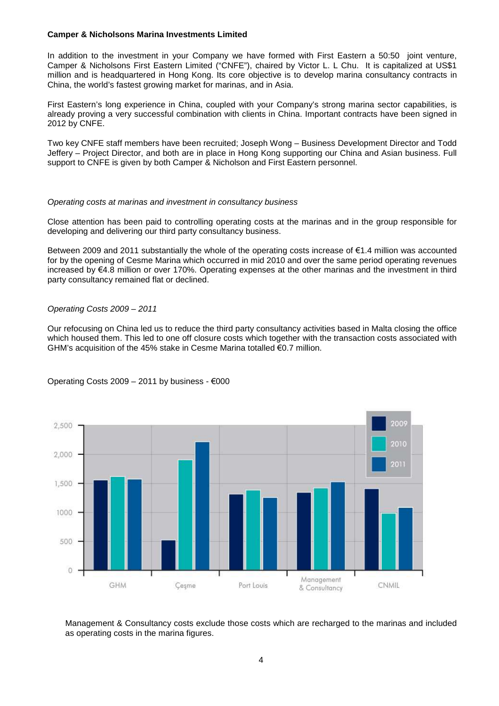In addition to the investment in your Company we have formed with First Eastern a 50:50 joint venture, Camper & Nicholsons First Eastern Limited ("CNFE"), chaired by Victor L. L Chu. It is capitalized at US\$1 million and is headquartered in Hong Kong. Its core objective is to develop marina consultancy contracts in China, the world's fastest growing market for marinas, and in Asia.

First Eastern's long experience in China, coupled with your Company's strong marina sector capabilities, is already proving a very successful combination with clients in China. Important contracts have been signed in 2012 by CNFE.

Two key CNFE staff members have been recruited; Joseph Wong – Business Development Director and Todd Jeffery – Project Director, and both are in place in Hong Kong supporting our China and Asian business. Full support to CNFE is given by both Camper & Nicholson and First Eastern personnel.

#### *Operating costs at marinas and investment in consultancy business*

Close attention has been paid to controlling operating costs at the marinas and in the group responsible for developing and delivering our third party consultancy business.

Between 2009 and 2011 substantially the whole of the operating costs increase of €1.4 million was accounted for by the opening of Cesme Marina which occurred in mid 2010 and over the same period operating revenues increased by €4.8 million or over 170%. Operating expenses at the other marinas and the investment in third party consultancy remained flat or declined.

#### *Operating Costs 2009 – 2011*

Our refocusing on China led us to reduce the third party consultancy activities based in Malta closing the office which housed them. This led to one off closure costs which together with the transaction costs associated with GHM's acquisition of the 45% stake in Cesme Marina totalled €0.7 million.



Operating Costs  $2009 - 2011$  by business -  $€000$ 

Management & Consultancy costs exclude those costs which are recharged to the marinas and included as operating costs in the marina figures.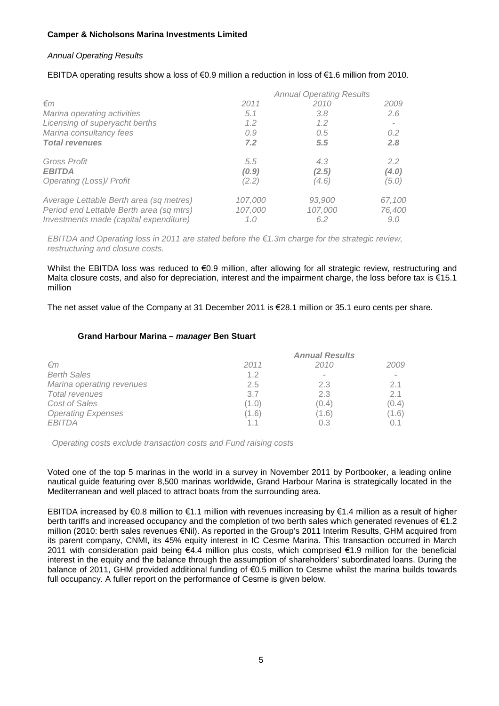## *Annual Operating Results*

## EBITDA operating results show a loss of €0.9 million a reduction in loss of €1.6 million from 2010.

|                                          |         | <b>Annual Operating Results</b> |                          |
|------------------------------------------|---------|---------------------------------|--------------------------|
| $\epsilon$ m                             | 2011    | 2010                            | 2009                     |
| Marina operating activities              | 5.1     | 3.8                             | 2.6                      |
| Licensing of superyacht berths           | 1.2     | 1.2                             | $\overline{\phantom{a}}$ |
| Marina consultancy fees                  | 0.9     | 0.5                             | $0.2^{\circ}$            |
| <b>Total revenues</b>                    | 7.2     | 5.5                             | 2.8                      |
| Gross Profit                             | 5.5     | 4.3                             | 2.2                      |
| <b>EBITDA</b>                            | (0.9)   | (2.5)                           | (4.0)                    |
| Operating (Loss)/ Profit                 | (2.2)   | (4.6)                           | (5.0)                    |
| Average Lettable Berth area (sq metres)  | 107.000 | 93,900                          | 67,100                   |
| Period end Lettable Berth area (sq mtrs) | 107,000 | 107,000                         | 76,400                   |
| Investments made (capital expenditure)   | 1.0     | 6.2                             | 9.0                      |

*EBITDA and Operating loss in 2011 are stated before the €1.3m charge for the strategic review, restructuring and closure costs.*

Whilst the EBITDA loss was reduced to €0.9 million, after allowing for all strategic review, restructuring and Malta closure costs, and also for depreciation, interest and the impairment charge, the loss before tax is €15.1 million

The net asset value of the Company at 31 December 2011 is €28.1 million or 35.1 euro cents per share.

## **Grand Harbour Marina –** *manager* **Ben Stuart**

|                           | <b>Annual Results</b> |                          |                          |  |
|---------------------------|-----------------------|--------------------------|--------------------------|--|
| $\epsilon$ m              | 2011                  | 2010                     | 2009                     |  |
| <b>Berth Sales</b>        | 1.2                   | $\overline{\phantom{a}}$ | $\overline{\phantom{a}}$ |  |
| Marina operating revenues | 2.5                   | 2.3                      | 2.1                      |  |
| Total revenues            | 3.7                   | 2.3                      | 2 <sub>1</sub>           |  |
| Cost of Sales             | (1.0)                 | (0.4)                    | (0.4)                    |  |
| <b>Operating Expenses</b> | (1.6)                 | (1.6)                    | (1.6)                    |  |
| EBITDA                    |                       | 0.3                      |                          |  |

*Operating costs exclude transaction costs and Fund raising costs*

Voted one of the top 5 marinas in the world in a survey in November 2011 by Portbooker, a leading online nautical guide featuring over 8,500 marinas worldwide, Grand Harbour Marina is strategically located in the Mediterranean and well placed to attract boats from the surrounding area.

EBITDA increased by €0.8 million to €1.1 million with revenues increasing by €1.4 million as a result of higher berth tariffs and increased occupancy and the completion of two berth sales which generated revenues of €1.2 million (2010: berth sales revenues €Nil). As reported in the Group's 2011 Interim Results, GHM acquired from its parent company, CNMI, its 45% equity interest in IC Cesme Marina. This transaction occurred in March 2011 with consideration paid being €4.4 million plus costs, which comprised €1.9 million for the beneficial interest in the equity and the balance through the assumption of shareholders' subordinated loans. During the balance of 2011, GHM provided additional funding of €0.5 million to Cesme whilst the marina builds towards full occupancy. A fuller report on the performance of Cesme is given below.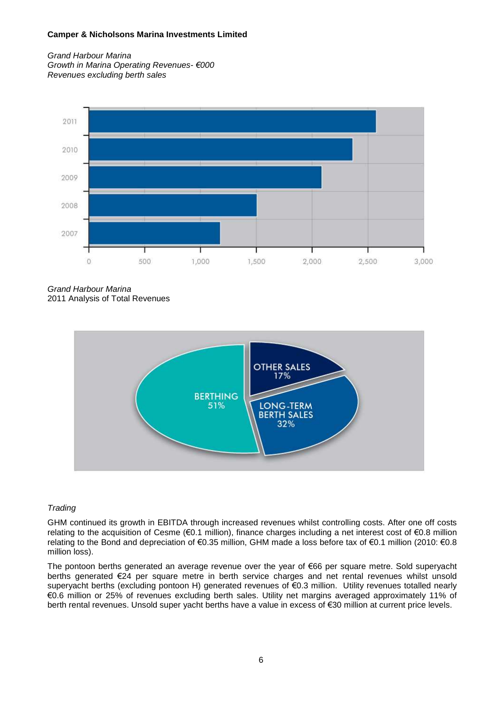*Grand Harbour Marina Growth in Marina Operating Revenues- €000 Revenues excluding berth sales*



*Grand Harbour Marina* 2011 Analysis of Total Revenues



## *Trading*

GHM continued its growth in EBITDA through increased revenues whilst controlling costs. After one off costs relating to the acquisition of Cesme (€0.1 million), finance charges including a net interest cost of €0.8 million relating to the Bond and depreciation of €0.35 million, GHM made a loss before tax of €0.1 million (2010: €0.8 million loss).

The pontoon berths generated an average revenue over the year of €66 per square metre. Sold superyacht berths generated €24 per square metre in berth service charges and net rental revenues whilst unsold superyacht berths (excluding pontoon H) generated revenues of €0.3 million. Utility revenues totalled nearly €0.6 million or 25% of revenues excluding berth sales. Utility net margins averaged approximately 11% of berth rental revenues. Unsold super yacht berths have a value in excess of €30 million at current price levels.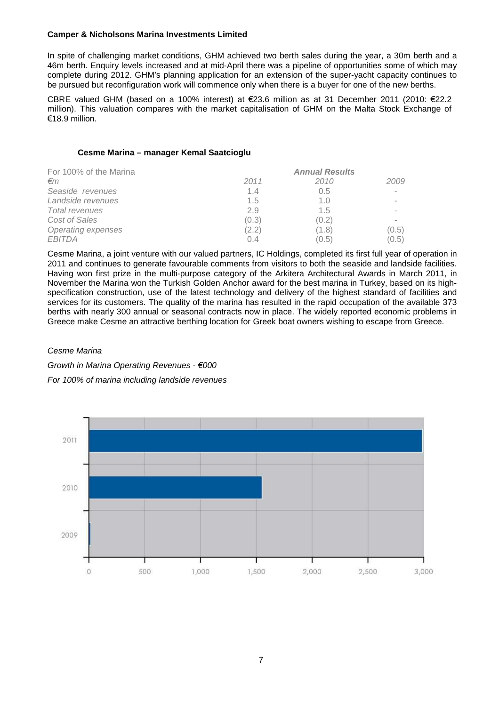In spite of challenging market conditions, GHM achieved two berth sales during the year, a 30m berth and a 46m berth. Enquiry levels increased and at mid-April there was a pipeline of opportunities some of which may complete during 2012. GHM's planning application for an extension of the super-yacht capacity continues to be pursued but reconfiguration work will commence only when there is a buyer for one of the new berths.

CBRE valued GHM (based on a 100% interest) at €23.6 million as at 31 December 2011 (2010: €22.2 million). This valuation compares with the market capitalisation of GHM on the Malta Stock Exchange of €18.9 million.

#### **Cesme Marina – manager Kemal Saatcioglu**

| For 100% of the Marina | <b>Annual Results</b> |       |        |  |
|------------------------|-----------------------|-------|--------|--|
| €m                     | 2011                  | 2010  | 2009   |  |
| Seaside revenues       | 1.4                   | 0.5   |        |  |
| Landside revenues      | 1.5                   | 1.0   |        |  |
| <b>Total revenues</b>  | 2.9                   | 1.5   | $\sim$ |  |
| Cost of Sales          | (0.3)                 | (0.2) |        |  |
| Operating expenses     | (2.2)                 | (1.8) | (0.5)  |  |
| <b>EBITDA</b>          | 0.4                   | (0.5) | (0.5)  |  |

Cesme Marina, a joint venture with our valued partners, IC Holdings, completed its first full year of operation in 2011 and continues to generate favourable comments from visitors to both the seaside and landside facilities. Having won first prize in the multi-purpose category of the Arkitera Architectural Awards in March 2011, in November the Marina won the Turkish Golden Anchor award for the best marina in Turkey, based on its highspecification construction, use of the latest technology and delivery of the highest standard of facilities and services for its customers. The quality of the marina has resulted in the rapid occupation of the available 373 berths with nearly 300 annual or seasonal contracts now in place. The widely reported economic problems in Greece make Cesme an attractive berthing location for Greek boat owners wishing to escape from Greece.

#### *Cesme Marina*

*Growth in Marina Operating Revenues - €000 For 100% of marina including landside revenues*

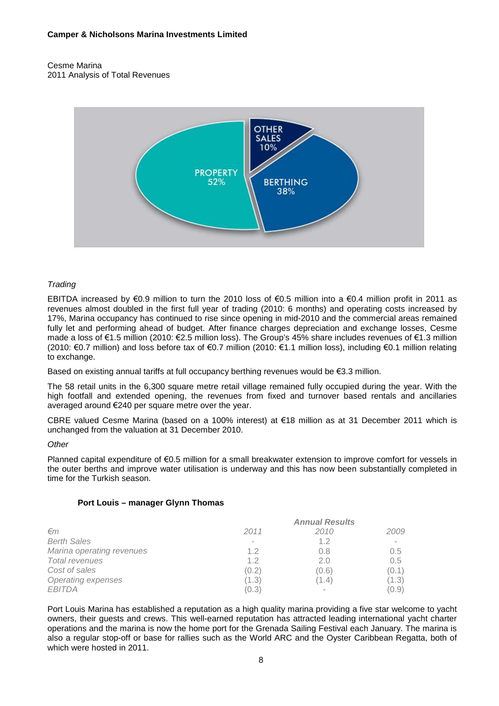#### Cesme Marina 2011 Analysis of Total Revenues



## *Trading*

EBITDA increased by €0.9 million to turn the 2010 loss of €0.5 million into a €0.4 million profit in 2011 as revenues almost doubled in the first full year of trading (2010: 6 months) and operating costs increased by 17%, Marina occupancy has continued to rise since opening in mid-2010 and the commercial areas remained fully let and performing ahead of budget. After finance charges depreciation and exchange losses, Cesme made a loss of €1.5 million (2010: €2.5 million loss). The Group's 45% share includes revenues of €1.3 million (2010: €0.7 million) and loss before tax of €0.7 million (2010: €1.1 million loss), including €0.1 million relating to exchange.

Based on existing annual tariffs at full occupancy berthing revenues would be €3.3 million.

The 58 retail units in the 6,300 square metre retail village remained fully occupied during the year. With the high footfall and extended opening, the revenues from fixed and turnover based rentals and ancillaries averaged around €240 per square metre over the year.

CBRE valued Cesme Marina (based on a 100% interest) at €18 million as at 31 December 2011 which is unchanged from the valuation at 31 December 2010.

#### *Other*

Planned capital expenditure of €0.5 million for a small breakwater extension to improve comfort for vessels in the outer berths and improve water utilisation is underway and this has now been substantially completed in time for the Turkish season.

## **Port Louis – manager Glynn Thomas**

|                           |       | <b>Annual Results</b> |        |
|---------------------------|-------|-----------------------|--------|
| $\epsilon$ m              | 2011  | 2010                  | 2009   |
| <b>Berth Sales</b>        |       | 1.2                   | $\sim$ |
| Marina operating revenues | 1.2   | 0.8                   | 0.5    |
| <b>Total revenues</b>     | 1.2   | 2.0                   | 0.5    |
| Cost of sales             | (0.2) | (0.6)                 | (0.1)  |
| <b>Operating expenses</b> | (1.3) | (1.4)                 | (1.3)  |
| EBITDA                    | (0.3) | $\sim$                | (0.9)  |

Port Louis Marina has established a reputation as a high quality marina providing a five star welcome to yacht owners, their guests and crews. This well-earned reputation has attracted leading international yacht charter operations and the marina is now the home port for the Grenada Sailing Festival each January. The marina is also a regular stop-off or base for rallies such as the World ARC and the Oyster Caribbean Regatta, both of which were hosted in 2011.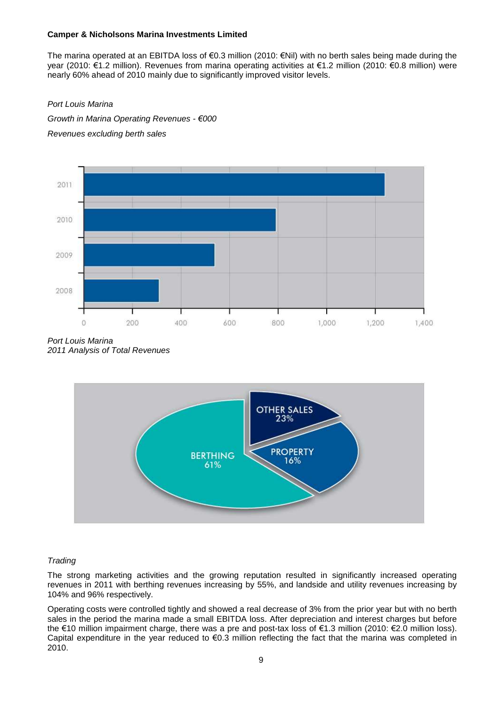The marina operated at an EBITDA loss of €0.3 million (2010: €Nil) with no berth sales being made during the year (2010: €1.2 million). Revenues from marina operating activities at €1.2 million (2010: €0.8 million) were nearly 60% ahead of 2010 mainly due to significantly improved visitor levels.

## *Port Louis Marina*

*Growth in Marina Operating Revenues - €000 Revenues excluding berth sales*



*Port Louis Marina 2011 Analysis of Total Revenues*



## *Trading*

The strong marketing activities and the growing reputation resulted in significantly increased operating revenues in 2011 with berthing revenues increasing by 55%, and landside and utility revenues increasing by 104% and 96% respectively.

Operating costs were controlled tightly and showed a real decrease of 3% from the prior year but with no berth sales in the period the marina made a small EBITDA loss. After depreciation and interest charges but before the €10 million impairment charge, there was a pre and post-tax loss of €1.3 million (2010: €2.0 million loss). Capital expenditure in the year reduced to €0.3 million reflecting the fact that the marina was completed in 2010.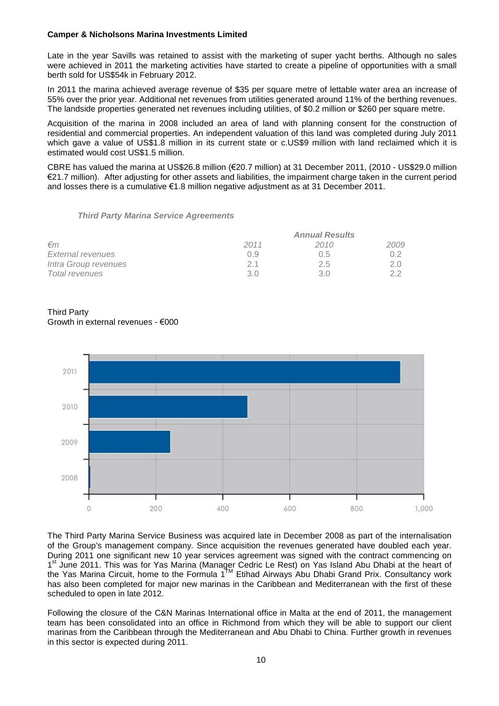Late in the year Savills was retained to assist with the marketing of super yacht berths. Although no sales were achieved in 2011 the marketing activities have started to create a pipeline of opportunities with a small berth sold for US\$54k in February 2012.

In 2011 the marina achieved average revenue of \$35 per square metre of lettable water area an increase of 55% over the prior year. Additional net revenues from utilities generated around 11% of the berthing revenues. The landside properties generated net revenues including utilities, of \$0.2 million or \$260 per square metre.

Acquisition of the marina in 2008 included an area of land with planning consent for the construction of residential and commercial properties. An independent valuation of this land was completed during July 2011 which gave a value of US\$1.8 million in its current state or c.US\$9 million with land reclaimed which it is estimated would cost US\$1.5 million.

CBRE has valued the marina at US\$26.8 million (€20.7 million) at 31 December 2011, (2010 - US\$29.0 million €21.7 million). After adjusting for other assets and liabilities, the impairment charge taken in the current period and losses there is a cumulative €1.8 million negative adjustment as at 31 December 2011.

#### *Third Party Marina Service Agreements*

|                      |      | <b>Annual Results</b> |      |
|----------------------|------|-----------------------|------|
| $\epsilon$ m         | 2011 | 2010                  | 2009 |
| External revenues    | 0.9  | 0.5                   | 0.2  |
| Intra Group revenues | 21   | 2.5                   | 2.0  |
| Total revenues       | 3.0  | 3 O                   | つつ   |

Third Party Growth in external revenues - €000



The Third Party Marina Service Business was acquired late in December 2008 as part of the internalisation of the Group's management company. Since acquisition the revenues generated have doubled each year. During 2011 one significant new 10 year services agreement was signed with the contract commencing on 1<sup>st</sup> June 2011. This was for Yas Marina (Manager Cedric Le Rest) on Yas Island Abu Dhabi at the heart of the Yas Marina Circuit, home to the Formula 1<sup>TM</sup> Etihad Airways Abu Dhabi Grand Prix. Consultancy work has also been completed for major new marinas in the Caribbean and Mediterranean with the first of these scheduled to open in late 2012.

Following the closure of the C&N Marinas International office in Malta at the end of 2011, the management team has been consolidated into an office in Richmond from which they will be able to support our client marinas from the Caribbean through the Mediterranean and Abu Dhabi to China. Further growth in revenues in this sector is expected during 2011.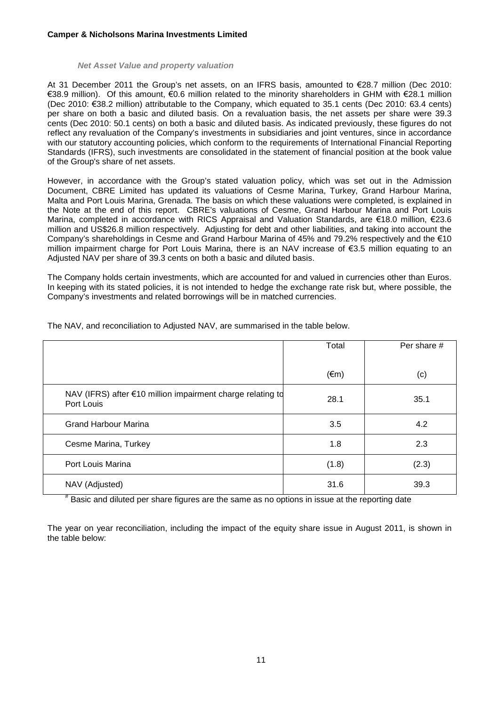#### *Net Asset Value and property valuation*

At 31 December 2011 the Group's net assets, on an IFRS basis, amounted to €28.7 million (Dec 2010: €38.9 million). Of this amount, €0.6 million related to the minority shareholders in GHM with €28.1 million (Dec 2010: €38.2 million) attributable to the Company, which equated to 35.1 cents (Dec 2010: 63.4 cents) per share on both a basic and diluted basis. On a revaluation basis, the net assets per share were 39.3 cents (Dec 2010: 50.1 cents) on both a basic and diluted basis. As indicated previously, these figures do not reflect any revaluation of the Company's investments in subsidiaries and joint ventures, since in accordance with our statutory accounting policies, which conform to the requirements of International Financial Reporting Standards (IFRS), such investments are consolidated in the statement of financial position at the book value of the Group's share of net assets.

However, in accordance with the Group's stated valuation policy, which was set out in the Admission Document, CBRE Limited has updated its valuations of Cesme Marina, Turkey, Grand Harbour Marina, Malta and Port Louis Marina, Grenada. The basis on which these valuations were completed, is explained in the Note at the end of this report. CBRE's valuations of Cesme, Grand Harbour Marina and Port Louis Marina, completed in accordance with RICS Appraisal and Valuation Standards, are €18.0 million, €23.6 million and US\$26.8 million respectively. Adjusting for debt and other liabilities, and taking into account the Company's shareholdings in Cesme and Grand Harbour Marina of 45% and 79.2% respectively and the €10 million impairment charge for Port Louis Marina, there is an NAV increase of €3.5 million equating to an Adjusted NAV per share of 39.3 cents on both a basic and diluted basis.

The Company holds certain investments, which are accounted for and valued in currencies other than Euros. In keeping with its stated policies, it is not intended to hedge the exchange rate risk but, where possible, the Company's investments and related borrowings will be in matched currencies.

|                                                                          | Total          | Per share # |
|--------------------------------------------------------------------------|----------------|-------------|
|                                                                          | $(\epsilon m)$ | (c)         |
| NAV (IFRS) after €10 million impairment charge relating td<br>Port Louis | 28.1           | 35.1        |
| <b>Grand Harbour Marina</b>                                              | 3.5            | 4.2         |
| Cesme Marina, Turkey                                                     | 1.8            | 2.3         |
| Port Louis Marina                                                        | (1.8)          | (2.3)       |
| NAV (Adjusted)                                                           | 31.6           | 39.3        |

The NAV, and reconciliation to Adjusted NAV, are summarised in the table below.

# Basic and diluted per share figures are the same as no options in issue at the reporting date

The year on year reconciliation, including the impact of the equity share issue in August 2011, is shown in the table below: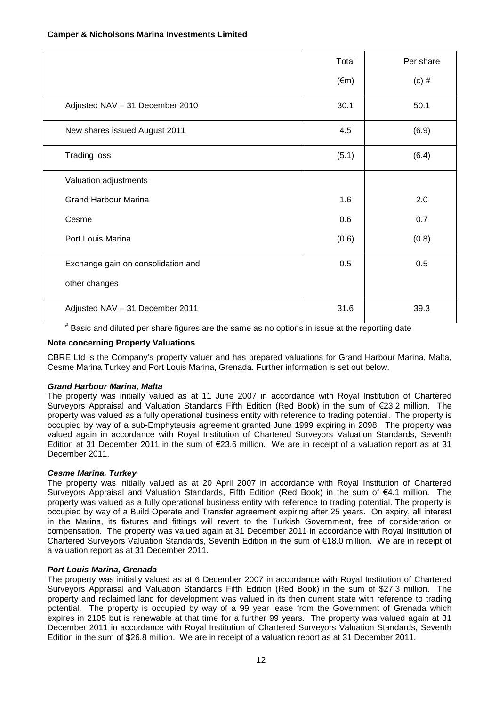|                                    | Total          | Per share |
|------------------------------------|----------------|-----------|
|                                    | $(\epsilon m)$ | $(c)$ #   |
| Adjusted NAV - 31 December 2010    | 30.1           | 50.1      |
| New shares issued August 2011      | 4.5            | (6.9)     |
| <b>Trading loss</b>                | (5.1)          | (6.4)     |
| Valuation adjustments              |                |           |
| <b>Grand Harbour Marina</b>        | 1.6            | 2.0       |
| Cesme                              | 0.6            | 0.7       |
| Port Louis Marina                  | (0.6)          | (0.8)     |
| Exchange gain on consolidation and | 0.5            | 0.5       |
| other changes                      |                |           |
| Adjusted NAV - 31 December 2011    | 31.6           | 39.3      |

# Basic and diluted per share figures are the same as no options in issue at the reporting date

## **Note concerning Property Valuations**

CBRE Ltd is the Company's property valuer and has prepared valuations for Grand Harbour Marina, Malta, Cesme Marina Turkey and Port Louis Marina, Grenada. Further information is set out below.

## *Grand Harbour Marina, Malta*

The property was initially valued as at 11 June 2007 in accordance with Royal Institution of Chartered Surveyors Appraisal and Valuation Standards Fifth Edition (Red Book) in the sum of €23.2 million. The property was valued as a fully operational business entity with reference to trading potential. The property is occupied by way of a sub-Emphyteusis agreement granted June 1999 expiring in 2098. The property was valued again in accordance with Royal Institution of Chartered Surveyors Valuation Standards, Seventh Edition at 31 December 2011 in the sum of €23.6 million. We are in receipt of a valuation report as at 31 December 2011.

## *Cesme Marina, Turkey*

The property was initially valued as at 20 April 2007 in accordance with Royal Institution of Chartered Surveyors Appraisal and Valuation Standards, Fifth Edition (Red Book) in the sum of €4.1 million. The property was valued as a fully operational business entity with reference to trading potential. The property is occupied by way of a Build Operate and Transfer agreement expiring after 25 years. On expiry, all interest in the Marina, its fixtures and fittings will revert to the Turkish Government, free of consideration or compensation. The property was valued again at 31 December 2011 in accordance with Royal Institution of Chartered Surveyors Valuation Standards, Seventh Edition in the sum of €18.0 million. We are in receipt of a valuation report as at 31 December 2011.

#### *Port Louis Marina, Grenada*

The property was initially valued as at 6 December 2007 in accordance with Royal Institution of Chartered Surveyors Appraisal and Valuation Standards Fifth Edition (Red Book) in the sum of \$27.3 million. The property and reclaimed land for development was valued in its then current state with reference to trading potential. The property is occupied by way of a 99 year lease from the Government of Grenada which expires in 2105 but is renewable at that time for a further 99 years. The property was valued again at 31 December 2011 in accordance with Royal Institution of Chartered Surveyors Valuation Standards, Seventh Edition in the sum of \$26.8 million. We are in receipt of a valuation report as at 31 December 2011.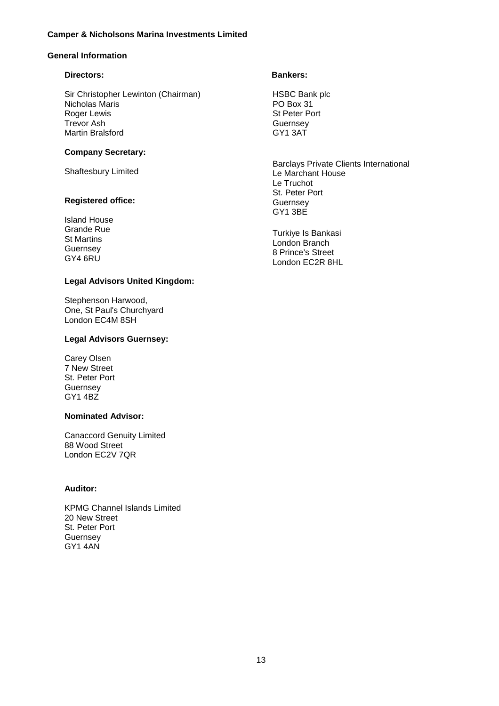## **General Information**

## **Directors:**

Sir Christopher Lewinton (Chairman) Nicholas Maris Roger Lewis Trevor Ash Martin Bralsford

## **Company Secretary:**

Shaftesbury Limited

## **Registered office:**

Island House Grande Rue St Martins Guernsey GY4 6RU

## **Legal Advisors United Kingdom:**

Stephenson Harwood, One, St Paul's Churchyard London EC4M 8SH

## **Legal Advisors Guernsey:**

Carey Olsen 7 New Street St. Peter Port Guernsey GY1 4BZ

## **Nominated Advisor:**

Canaccord Genuity Limited 88 Wood Street London EC2V 7QR

## **Auditor:**

KPMG Channel Islands Limited 20 New Street St. Peter Port Guernsey GY1 4AN

## **Bankers:**

HSBC Bank plc PO Box 31 St Peter Port Guernsey GY1 3AT

Barclays Private Clients International Le Marchant House Le Truchot St. Peter Port **Guernsey** GY1 3BE

Turkiye Is Bankasi London Branch 8 Prince's Street London EC2R 8HL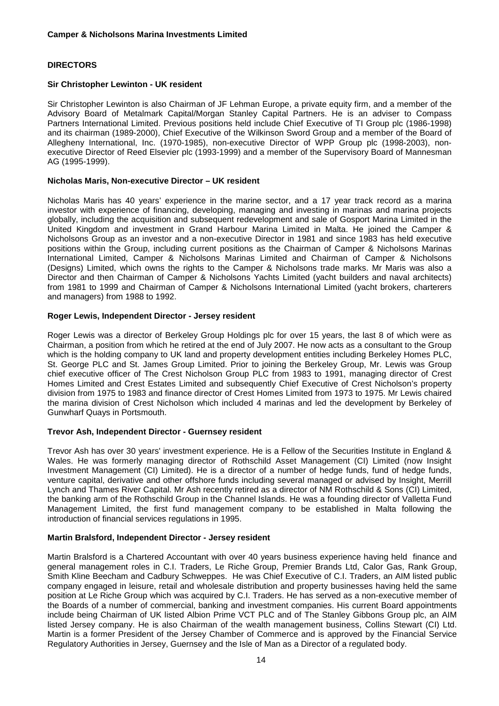## **DIRECTORS**

## **Sir Christopher Lewinton - UK resident**

Sir Christopher Lewinton is also Chairman of JF Lehman Europe, a private equity firm, and a member of the Advisory Board of Metalmark Capital/Morgan Stanley Capital Partners. He is an adviser to Compass Partners International Limited. Previous positions held include Chief Executive of TI Group plc (1986-1998) and its chairman (1989-2000), Chief Executive of the Wilkinson Sword Group and a member of the Board of Allegheny International, Inc. (1970-1985), non-executive Director of WPP Group plc (1998-2003), nonexecutive Director of Reed Elsevier plc (1993-1999) and a member of the Supervisory Board of Mannesman AG (1995-1999).

## **Nicholas Maris, Non-executive Director – UK resident**

Nicholas Maris has 40 years' experience in the marine sector, and a 17 year track record as a marina investor with experience of financing, developing, managing and investing in marinas and marina projects globally, including the acquisition and subsequent redevelopment and sale of Gosport Marina Limited in the United Kingdom and investment in Grand Harbour Marina Limited in Malta. He joined the Camper & Nicholsons Group as an investor and a non-executive Director in 1981 and since 1983 has held executive positions within the Group, including current positions as the Chairman of Camper & Nicholsons Marinas International Limited, Camper & Nicholsons Marinas Limited and Chairman of Camper & Nicholsons (Designs) Limited, which owns the rights to the Camper & Nicholsons trade marks. Mr Maris was also a Director and then Chairman of Camper & Nicholsons Yachts Limited (yacht builders and naval architects) from 1981 to 1999 and Chairman of Camper & Nicholsons International Limited (yacht brokers, charterers and managers) from 1988 to 1992.

## **Roger Lewis, Independent Director - Jersey resident**

Roger Lewis was a director of Berkeley Group Holdings plc for over 15 years, the last 8 of which were as Chairman, a position from which he retired at the end of July 2007. He now acts as a consultant to the Group which is the holding company to UK land and property development entities including Berkeley Homes PLC, St. George PLC and St. James Group Limited. Prior to joining the Berkeley Group, Mr. Lewis was Group chief executive officer of The Crest Nicholson Group PLC from 1983 to 1991, managing director of Crest Homes Limited and Crest Estates Limited and subsequently Chief Executive of Crest Nicholson's property division from 1975 to 1983 and finance director of Crest Homes Limited from 1973 to 1975. Mr Lewis chaired the marina division of Crest Nicholson which included 4 marinas and led the development by Berkeley of Gunwharf Quays in Portsmouth.

## **Trevor Ash, Independent Director - Guernsey resident**

Trevor Ash has over 30 years' investment experience. He is a Fellow of the Securities Institute in England & Wales. He was formerly managing director of Rothschild Asset Management (CI) Limited (now Insight Investment Management (CI) Limited). He is a director of a number of hedge funds, fund of hedge funds, venture capital, derivative and other offshore funds including several managed or advised by Insight, Merrill Lynch and Thames River Capital. Mr Ash recently retired as a director of NM Rothschild & Sons (CI) Limited, the banking arm of the Rothschild Group in the Channel Islands. He was a founding director of Valletta Fund Management Limited, the first fund management company to be established in Malta following the introduction of financial services regulations in 1995.

#### **Martin Bralsford, Independent Director - Jersey resident**

Martin Bralsford is a Chartered Accountant with over 40 years business experience having held finance and general management roles in C.I. Traders, Le Riche Group, Premier Brands Ltd, Calor Gas, Rank Group, Smith Kline Beecham and Cadbury Schweppes. He was Chief Executive of C.I. Traders, an AIM listed public company engaged in leisure, retail and wholesale distribution and property businesses having held the same position at Le Riche Group which was acquired by C.I. Traders. He has served as a non-executive member of the Boards of a number of commercial, banking and investment companies. His current Board appointments include being Chairman of UK listed Albion Prime VCT PLC and of The Stanley Gibbons Group plc, an AIM listed Jersey company. He is also Chairman of the wealth management business, Collins Stewart (CI) Ltd. Martin is a former President of the Jersey Chamber of Commerce and is approved by the Financial Service Regulatory Authorities in Jersey, Guernsey and the Isle of Man as a Director of a regulated body.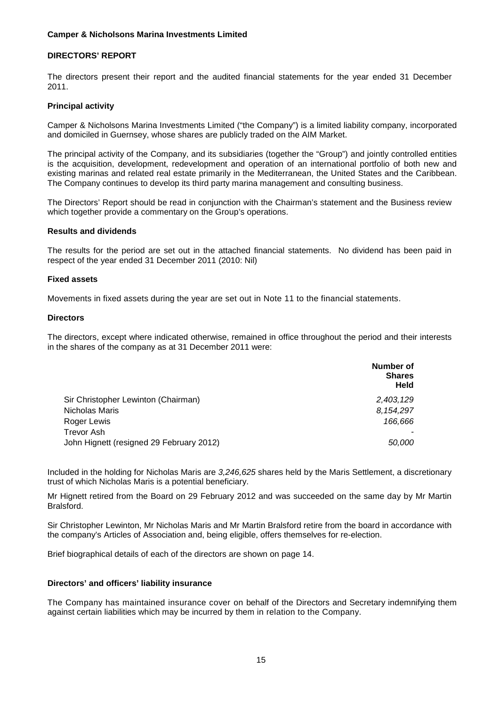## **DIRECTORS' REPORT**

The directors present their report and the audited financial statements for the year ended 31 December 2011.

#### **Principal activity**

Camper & Nicholsons Marina Investments Limited ("the Company") is a limited liability company, incorporated and domiciled in Guernsey, whose shares are publicly traded on the AIM Market.

The principal activity of the Company, and its subsidiaries (together the "Group") and jointly controlled entities is the acquisition, development, redevelopment and operation of an international portfolio of both new and existing marinas and related real estate primarily in the Mediterranean, the United States and the Caribbean. The Company continues to develop its third party marina management and consulting business.

The Directors' Report should be read in conjunction with the Chairman's statement and the Business review which together provide a commentary on the Group's operations.

#### **Results and dividends**

The results for the period are set out in the attached financial statements. No dividend has been paid in respect of the year ended 31 December 2011 (2010: Nil)

#### **Fixed assets**

Movements in fixed assets during the year are set out in Note 11 to the financial statements.

#### **Directors**

The directors, except where indicated otherwise, remained in office throughout the period and their interests in the shares of the company as at 31 December 2011 were:

|                                          | Number of<br><b>Shares</b><br>Held |
|------------------------------------------|------------------------------------|
| Sir Christopher Lewinton (Chairman)      | 2,403,129                          |
| Nicholas Maris                           | 8,154,297                          |
| Roger Lewis                              | 166.666                            |
| Trevor Ash                               |                                    |
| John Hignett (resigned 29 February 2012) | 50,000                             |

Included in the holding for Nicholas Maris are *3,246,625* shares held by the Maris Settlement, a discretionary trust of which Nicholas Maris is a potential beneficiary.

Mr Hignett retired from the Board on 29 February 2012 and was succeeded on the same day by Mr Martin Bralsford.

Sir Christopher Lewinton, Mr Nicholas Maris and Mr Martin Bralsford retire from the board in accordance with the company's Articles of Association and, being eligible, offers themselves for re-election.

Brief biographical details of each of the directors are shown on page 14.

## **Directors' and officers' liability insurance**

The Company has maintained insurance cover on behalf of the Directors and Secretary indemnifying them against certain liabilities which may be incurred by them in relation to the Company.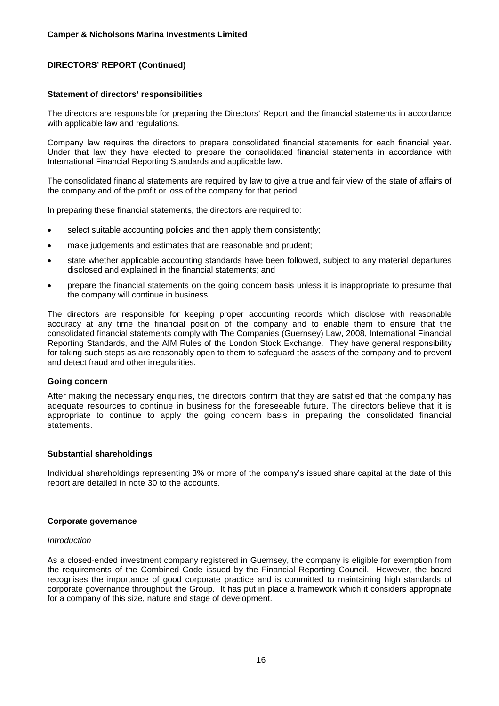## **Statement of directors' responsibilities**

The directors are responsible for preparing the Directors' Report and the financial statements in accordance with applicable law and regulations.

Company law requires the directors to prepare consolidated financial statements for each financial year. Under that law they have elected to prepare the consolidated financial statements in accordance with International Financial Reporting Standards and applicable law.

The consolidated financial statements are required by law to give a true and fair view of the state of affairs of the company and of the profit or loss of the company for that period.

In preparing these financial statements, the directors are required to:

- select suitable accounting policies and then apply them consistently;
- make judgements and estimates that are reasonable and prudent;
- state whether applicable accounting standards have been followed, subject to any material departures disclosed and explained in the financial statements; and
- prepare the financial statements on the going concern basis unless it is inappropriate to presume that the company will continue in business.

The directors are responsible for keeping proper accounting records which disclose with reasonable accuracy at any time the financial position of the company and to enable them to ensure that the consolidated financial statements comply with The Companies (Guernsey) Law, 2008, International Financial Reporting Standards, and the AIM Rules of the London Stock Exchange. They have general responsibility for taking such steps as are reasonably open to them to safeguard the assets of the company and to prevent and detect fraud and other irregularities.

#### **Going concern**

After making the necessary enquiries, the directors confirm that they are satisfied that the company has adequate resources to continue in business for the foreseeable future. The directors believe that it is appropriate to continue to apply the going concern basis in preparing the consolidated financial statements.

#### **Substantial shareholdings**

Individual shareholdings representing 3% or more of the company's issued share capital at the date of this report are detailed in note 30 to the accounts.

#### **Corporate governance**

#### *Introduction*

As a closed-ended investment company registered in Guernsey, the company is eligible for exemption from the requirements of the Combined Code issued by the Financial Reporting Council. However, the board recognises the importance of good corporate practice and is committed to maintaining high standards of corporate governance throughout the Group. It has put in place a framework which it considers appropriate for a company of this size, nature and stage of development.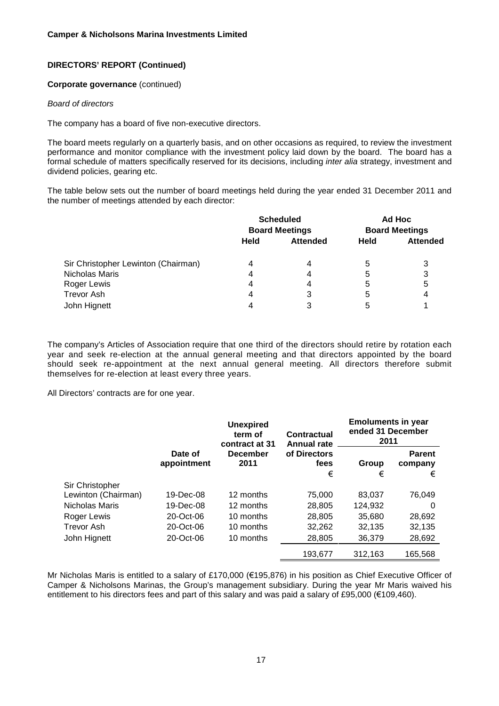#### **Corporate governance** (continued)

#### *Board of directors*

The company has a board of five non-executive directors.

The board meets regularly on a quarterly basis, and on other occasions as required, to review the investment performance and monitor compliance with the investment policy laid down by the board. The board has a formal schedule of matters specifically reserved for its decisions, including *inter alia* strategy, investment and dividend policies, gearing etc.

The table below sets out the number of board meetings held during the year ended 31 December 2011 and the number of meetings attended by each director:

|                                     | <b>Scheduled</b><br><b>Board Meetings</b> |                 | Ad Hoc<br><b>Board Meetings</b> |                 |
|-------------------------------------|-------------------------------------------|-----------------|---------------------------------|-----------------|
|                                     | Held                                      | <b>Attended</b> | Held                            | <b>Attended</b> |
| Sir Christopher Lewinton (Chairman) | 4                                         | 4               | 5                               |                 |
| Nicholas Maris                      | 4                                         | 4               | 5                               | 3               |
| Roger Lewis                         | 4                                         | 4               | 5                               | 5               |
| <b>Trevor Ash</b>                   | 4                                         | 3               | 5                               | 4               |
| John Hignett                        | 4                                         | 3               | 5                               |                 |

The company's Articles of Association require that one third of the directors should retire by rotation each year and seek re-election at the annual general meeting and that directors appointed by the board should seek re-appointment at the next annual general meeting. All directors therefore submit themselves for re-election at least every three years.

All Directors' contracts are for one year.

|                     |                        | <b>Unexpired</b><br>term of<br>contract at 31 | Contractual<br><b>Annual rate</b> | <b>Emoluments in year</b><br>ended 31 December<br>2011 |                          |
|---------------------|------------------------|-----------------------------------------------|-----------------------------------|--------------------------------------------------------|--------------------------|
|                     | Date of<br>appointment | <b>December</b><br>2011                       | of Directors<br>fees              | Group                                                  | <b>Parent</b><br>company |
|                     |                        |                                               | €                                 | €                                                      | €                        |
| Sir Christopher     |                        |                                               |                                   |                                                        |                          |
| Lewinton (Chairman) | 19-Dec-08              | 12 months                                     | 75,000                            | 83,037                                                 | 76,049                   |
| Nicholas Maris      | 19-Dec-08              | 12 months                                     | 28,805                            | 124,932                                                | 0                        |
| Roger Lewis         | 20-Oct-06              | 10 months                                     | 28,805                            | 35,680                                                 | 28,692                   |
| <b>Trevor Ash</b>   | 20-Oct-06              | 10 months                                     | 32,262                            | 32,135                                                 | 32,135                   |
| John Hignett        | 20-Oct-06              | 10 months                                     | 28,805                            | 36.379                                                 | 28,692                   |
|                     |                        |                                               | 193,677                           | 312.163                                                | 165.568                  |

Mr Nicholas Maris is entitled to a salary of £170,000 (€195,876) in his position as Chief Executive Officer of Camper & Nicholsons Marinas, the Group's management subsidiary. During the year Mr Maris waived his entitlement to his directors fees and part of this salary and was paid a salary of £95,000 (€109,460).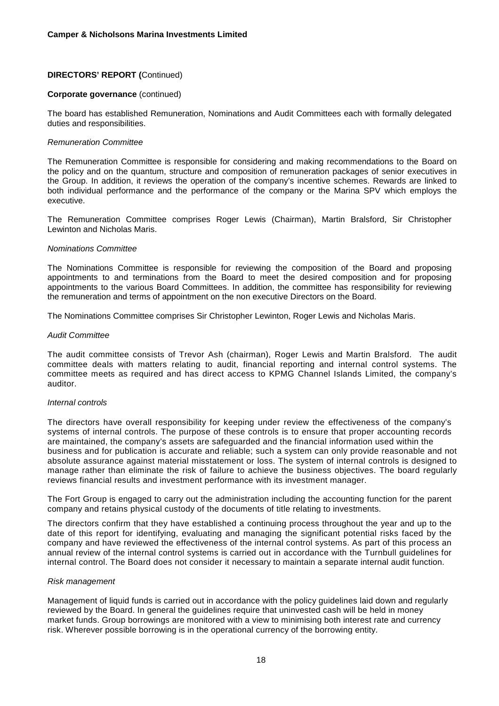## **Corporate governance** (continued)

The board has established Remuneration, Nominations and Audit Committees each with formally delegated duties and responsibilities.

#### *Remuneration Committee*

The Remuneration Committee is responsible for considering and making recommendations to the Board on the policy and on the quantum, structure and composition of remuneration packages of senior executives in the Group. In addition, it reviews the operation of the company's incentive schemes. Rewards are linked to both individual performance and the performance of the company or the Marina SPV which employs the executive.

The Remuneration Committee comprises Roger Lewis (Chairman), Martin Bralsford, Sir Christopher Lewinton and Nicholas Maris.

#### *Nominations Committee*

The Nominations Committee is responsible for reviewing the composition of the Board and proposing appointments to and terminations from the Board to meet the desired composition and for proposing appointments to the various Board Committees. In addition, the committee has responsibility for reviewing the remuneration and terms of appointment on the non executive Directors on the Board.

The Nominations Committee comprises Sir Christopher Lewinton, Roger Lewis and Nicholas Maris.

#### *Audit Committee*

The audit committee consists of Trevor Ash (chairman), Roger Lewis and Martin Bralsford. The audit committee deals with matters relating to audit, financial reporting and internal control systems. The committee meets as required and has direct access to KPMG Channel Islands Limited, the company's auditor.

#### *Internal controls*

The directors have overall responsibility for keeping under review the effectiveness of the company's systems of internal controls. The purpose of these controls is to ensure that proper accounting records are maintained, the company's assets are safeguarded and the financial information used within the business and for publication is accurate and reliable; such a system can only provide reasonable and not absolute assurance against material misstatement or loss. The system of internal controls is designed to manage rather than eliminate the risk of failure to achieve the business objectives. The board regularly reviews financial results and investment performance with its investment manager.

The Fort Group is engaged to carry out the administration including the accounting function for the parent company and retains physical custody of the documents of title relating to investments.

The directors confirm that they have established a continuing process throughout the year and up to the date of this report for identifying, evaluating and managing the significant potential risks faced by the company and have reviewed the effectiveness of the internal control systems. As part of this process an annual review of the internal control systems is carried out in accordance with the Turnbull guidelines for internal control. The Board does not consider it necessary to maintain a separate internal audit function.

#### *Risk management*

Management of liquid funds is carried out in accordance with the policy guidelines laid down and regularly reviewed by the Board. In general the guidelines require that uninvested cash will be held in money market funds. Group borrowings are monitored with a view to minimising both interest rate and currency risk. Wherever possible borrowing is in the operational currency of the borrowing entity.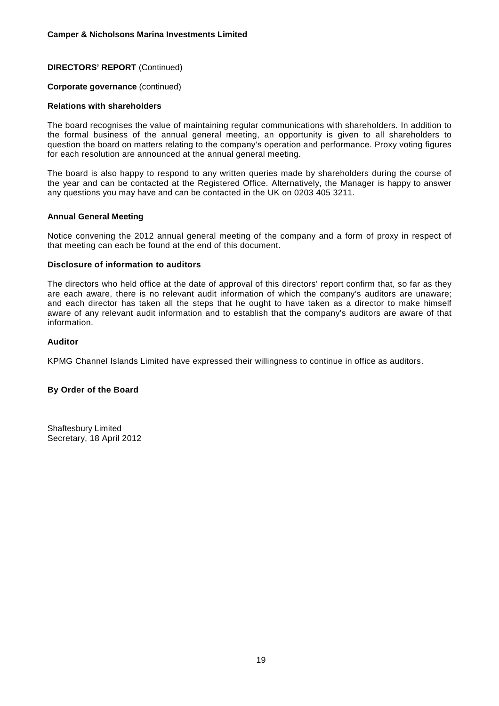#### **Corporate governance** (continued)

#### **Relations with shareholders**

The board recognises the value of maintaining regular communications with shareholders. In addition to the formal business of the annual general meeting, an opportunity is given to all shareholders to question the board on matters relating to the company's operation and performance. Proxy voting figures for each resolution are announced at the annual general meeting.

The board is also happy to respond to any written queries made by shareholders during the course of the year and can be contacted at the Registered Office. Alternatively, the Manager is happy to answer any questions you may have and can be contacted in the UK on 0203 405 3211.

#### **Annual General Meeting**

Notice convening the 2012 annual general meeting of the company and a form of proxy in respect of that meeting can each be found at the end of this document.

#### **Disclosure of information to auditors**

The directors who held office at the date of approval of this directors' report confirm that, so far as they are each aware, there is no relevant audit information of which the company's auditors are unaware; and each director has taken all the steps that he ought to have taken as a director to make himself aware of any relevant audit information and to establish that the company's auditors are aware of that information.

#### **Auditor**

KPMG Channel Islands Limited have expressed their willingness to continue in office as auditors.

## **By Order of the Board**

Shaftesbury Limited Secretary, 18 April 2012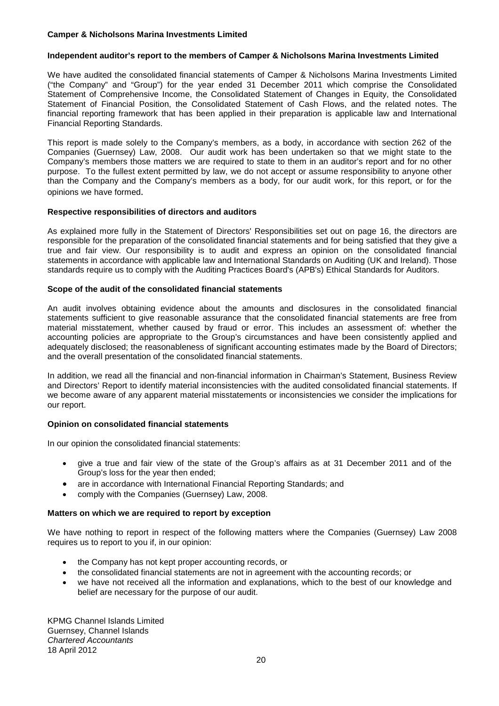#### **Independent auditor's report to the members of Camper & Nicholsons Marina Investments Limited**

We have audited the consolidated financial statements of Camper & Nicholsons Marina Investments Limited ("the Company" and "Group") for the year ended 31 December 2011 which comprise the Consolidated Statement of Comprehensive Income, the Consolidated Statement of Changes in Equity, the Consolidated Statement of Financial Position, the Consolidated Statement of Cash Flows, and the related notes. The financial reporting framework that has been applied in their preparation is applicable law and International Financial Reporting Standards.

This report is made solely to the Company's members, as a body, in accordance with section 262 of the Companies (Guernsey) Law, 2008. Our audit work has been undertaken so that we might state to the Company's members those matters we are required to state to them in an auditor's report and for no other purpose. To the fullest extent permitted by law, we do not accept or assume responsibility to anyone other than the Company and the Company's members as a body, for our audit work, for this report, or for the opinions we have formed.

## **Respective responsibilities of directors and auditors**

As explained more fully in the Statement of Directors' Responsibilities set out on page 16, the directors are responsible for the preparation of the consolidated financial statements and for being satisfied that they give a true and fair view. Our responsibility is to audit and express an opinion on the consolidated financial statements in accordance with applicable law and International Standards on Auditing (UK and Ireland). Those standards require us to comply with the Auditing Practices Board's (APB's) Ethical Standards for Auditors.

## **Scope of the audit of the consolidated financial statements**

An audit involves obtaining evidence about the amounts and disclosures in the consolidated financial statements sufficient to give reasonable assurance that the consolidated financial statements are free from material misstatement, whether caused by fraud or error. This includes an assessment of: whether the accounting policies are appropriate to the Group's circumstances and have been consistently applied and adequately disclosed; the reasonableness of significant accounting estimates made by the Board of Directors; and the overall presentation of the consolidated financial statements.

In addition, we read all the financial and non-financial information in Chairman's Statement, Business Review and Directors' Report to identify material inconsistencies with the audited consolidated financial statements. If we become aware of any apparent material misstatements or inconsistencies we consider the implications for our report.

## **Opinion on consolidated financial statements**

In our opinion the consolidated financial statements:

- give a true and fair view of the state of the Group's affairs as at 31 December 2011 and of the Group's loss for the year then ended;
- are in accordance with International Financial Reporting Standards; and
- comply with the Companies (Guernsey) Law, 2008.

#### **Matters on which we are required to report by exception**

We have nothing to report in respect of the following matters where the Companies (Guernsey) Law 2008 requires us to report to you if, in our opinion:

- the Company has not kept proper accounting records, or
- the consolidated financial statements are not in agreement with the accounting records; or
- we have not received all the information and explanations, which to the best of our knowledge and belief are necessary for the purpose of our audit.

KPMG Channel Islands Limited Guernsey, Channel Islands *Chartered Accountants* 18 April 2012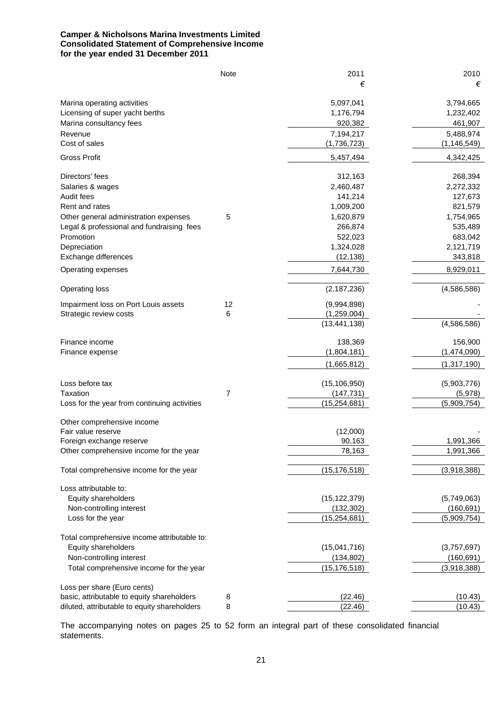## **Camper & Nicholsons Marina Investments Limited Consolidated Statement of Comprehensive Income for the year ended 31 December 2011**

|                                              | Note | 2011           | 2010          |
|----------------------------------------------|------|----------------|---------------|
|                                              |      | €              | €             |
| Marina operating activities                  |      | 5,097,041      | 3,794,665     |
| Licensing of super yacht berths              |      | 1,176,794      | 1,232,402     |
| Marina consultancy fees                      |      | 920,382        | 461,907       |
| Revenue                                      |      | 7,194,217      | 5,488,974     |
| Cost of sales                                |      | (1,736,723)    | (1, 146, 549) |
| <b>Gross Profit</b>                          |      | 5,457,494      | 4,342,425     |
| Directors' fees                              |      | 312,163        | 268,394       |
| Salaries & wages                             |      | 2,460,487      | 2,272,332     |
| Audit fees                                   |      | 141,214        | 127,673       |
| Rent and rates                               |      | 1,009,200      | 821,579       |
| Other general administration expenses        | 5    | 1,620,879      | 1,754,965     |
| Legal & professional and fundraising fees    |      | 266,874        | 535,489       |
| Promotion                                    |      | 522,023        | 683,042       |
| Depreciation                                 |      | 1,324,028      | 2,121,719     |
| Exchange differences                         |      | (12, 138)      | 343,818       |
| Operating expenses                           |      | 7,644,730      | 8,929,011     |
| <b>Operating loss</b>                        |      | (2, 187, 236)  | (4,586,586)   |
| Impairment loss on Port Louis assets         | 12   | (9,994,898)    |               |
| Strategic review costs                       | 6    | (1,259,004)    |               |
|                                              |      | (13, 441, 138) | (4,586,586)   |
| Finance income                               |      | 138,369        | 156,900       |
| Finance expense                              |      | (1,804,181)    | (1,474,090)   |
|                                              |      | (1,665,812)    | (1,317,190)   |
| Loss before tax                              |      | (15, 106, 950) | (5,903,776)   |
| Taxation                                     | 7    | (147, 731)     | (5,978)       |
| Loss for the year from continuing activities |      | (15, 254, 681) | (5,909,754)   |
| Other comprehensive income                   |      |                |               |
| Fair value reserve                           |      | (12,000)       |               |
| Foreign exchange reserve                     |      | 90,163         | 1,991,366     |
| Other comprehensive income for the year      |      | 78,163         | 1,991,366     |
| Total comprehensive income for the year      |      | (15, 176, 518) | (3,918,388)   |
| Loss attributable to:                        |      |                |               |
| Equity shareholders                          |      | (15, 122, 379) | (5,749,063)   |
| Non-controlling interest                     |      | (132, 302)     | (160, 691)    |
| Loss for the year                            |      | (15, 254, 681) | (5,909,754)   |
| Total comprehensive income attributable to:  |      |                |               |
| Equity shareholders                          |      | (15,041,716)   | (3,757,697)   |
| Non-controlling interest                     |      | (134, 802)     | (160, 691)    |
| Total comprehensive income for the year      |      | (15, 176, 518) | (3,918,388)   |
| Loss per share (Euro cents)                  |      |                |               |
| basic, attributable to equity shareholders   | 8    | (22.46)        | (10.43)       |
| diluted, attributable to equity shareholders | 8    | (22.46)        | (10.43)       |

The accompanying notes on pages 25 to 52 form an integral part of these consolidated financial statements.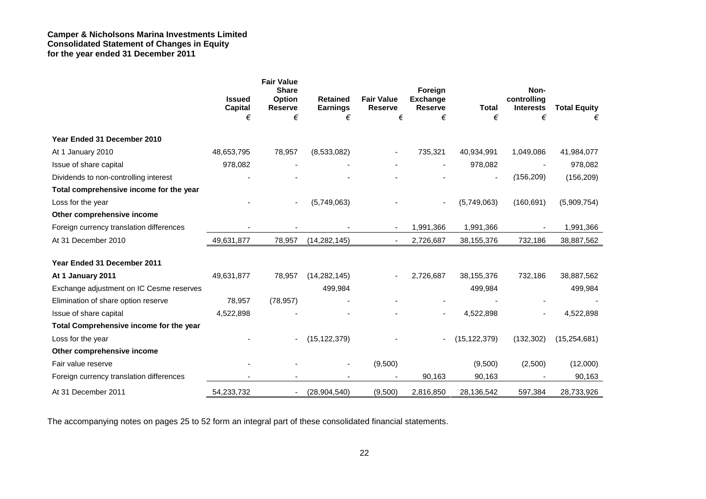## **Camper & Nicholsons Marina Investments Limited Consolidated Statement of Changes in Equity for the year ended 31 December 2011**

|                                          |                          | <b>Fair Value</b><br><b>Share</b> |                                    |                                     | Foreign                           |                | Non-                            |                     |
|------------------------------------------|--------------------------|-----------------------------------|------------------------------------|-------------------------------------|-----------------------------------|----------------|---------------------------------|---------------------|
|                                          | <b>Issued</b><br>Capital | <b>Option</b><br><b>Reserve</b>   | <b>Retained</b><br><b>Earnings</b> | <b>Fair Value</b><br><b>Reserve</b> | <b>Exchange</b><br><b>Reserve</b> | <b>Total</b>   | controlling<br><b>Interests</b> | <b>Total Equity</b> |
|                                          | €                        | €                                 | €                                  | €                                   | €                                 | €              | €                               |                     |
| Year Ended 31 December 2010              |                          |                                   |                                    |                                     |                                   |                |                                 |                     |
| At 1 January 2010                        | 48,653,795               | 78,957                            | (8,533,082)                        |                                     | 735,321                           | 40,934,991     | 1,049,086                       | 41,984,077          |
| Issue of share capital                   | 978,082                  |                                   |                                    |                                     | $\overline{\phantom{a}}$          | 978,082        | $\overline{\phantom{a}}$        | 978,082             |
| Dividends to non-controlling interest    |                          |                                   |                                    |                                     |                                   |                | (156, 209)                      | (156, 209)          |
| Total comprehensive income for the year  |                          |                                   |                                    |                                     |                                   |                |                                 |                     |
| Loss for the year                        |                          | $\blacksquare$                    | (5,749,063)                        |                                     |                                   | (5,749,063)    | (160, 691)                      | (5,909,754)         |
| Other comprehensive income               |                          |                                   |                                    |                                     |                                   |                |                                 |                     |
| Foreign currency translation differences |                          |                                   |                                    |                                     | 1,991,366                         | 1,991,366      |                                 | 1,991,366           |
| At 31 December 2010                      | 49,631,877               | 78,957                            | (14, 282, 145)                     |                                     | 2,726,687                         | 38, 155, 376   | 732,186                         | 38,887,562          |
| Year Ended 31 December 2011              |                          |                                   |                                    |                                     |                                   |                |                                 |                     |
| At 1 January 2011                        | 49,631,877               | 78,957                            | (14, 282, 145)                     |                                     | 2,726,687                         | 38,155,376     | 732,186                         | 38,887,562          |
| Exchange adjustment on IC Cesme reserves |                          |                                   | 499,984                            |                                     |                                   | 499,984        |                                 | 499,984             |
| Elimination of share option reserve      | 78,957                   | (78, 957)                         |                                    |                                     |                                   |                |                                 |                     |
| Issue of share capital                   | 4,522,898                |                                   |                                    |                                     | $\blacksquare$                    | 4,522,898      |                                 | 4,522,898           |
| Total Comprehensive income for the year  |                          |                                   |                                    |                                     |                                   |                |                                 |                     |
| Loss for the year                        |                          | $\overline{\phantom{a}}$          | (15, 122, 379)                     |                                     |                                   | (15, 122, 379) | (132, 302)                      | (15, 254, 681)      |
| Other comprehensive income               |                          |                                   |                                    |                                     |                                   |                |                                 |                     |
| Fair value reserve                       |                          |                                   | $\overline{\phantom{a}}$           | (9,500)                             |                                   | (9,500)        | (2,500)                         | (12,000)            |
| Foreign currency translation differences |                          |                                   |                                    |                                     | 90,163                            | 90,163         |                                 | 90,163              |
| At 31 December 2011                      | 54,233,732               |                                   | (28, 904, 540)                     | (9,500)                             | 2,816,850                         | 28,136,542     | 597,384                         | 28,733,926          |

The accompanying notes on pages 25 to 52 form an integral part of these consolidated financial statements.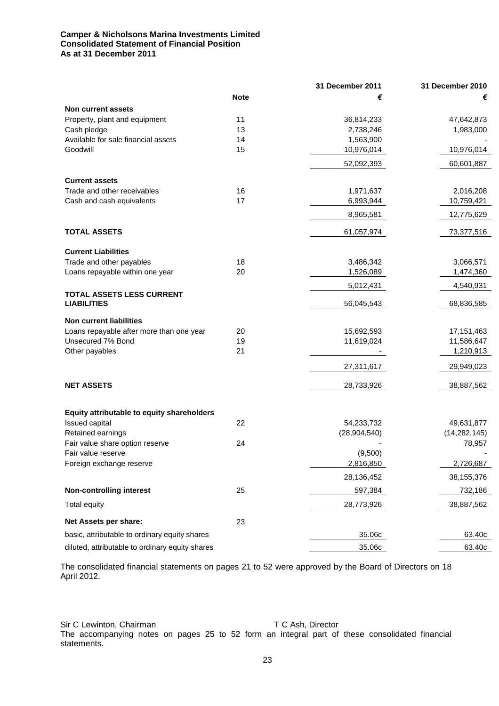## **Camper & Nicholsons Marina Investments Limited Consolidated Statement of Financial Position As at 31 December 2011**

|                                                 |             | 31 December 2011 | 31 December 2010 |
|-------------------------------------------------|-------------|------------------|------------------|
|                                                 | <b>Note</b> | €                | €                |
| <b>Non current assets</b>                       |             |                  |                  |
| Property, plant and equipment                   | 11          | 36,814,233       | 47,642,873       |
| Cash pledge                                     | 13          | 2,738,246        | 1,983,000        |
| Available for sale financial assets             | 14          | 1,563,900        |                  |
| Goodwill                                        | 15          | 10,976,014       | 10,976,014       |
|                                                 |             | 52,092,393       | 60,601,887       |
| <b>Current assets</b>                           |             |                  |                  |
| Trade and other receivables                     | 16          | 1,971,637        | 2,016,208        |
| Cash and cash equivalents                       | 17          | 6,993,944        | 10,759,421       |
|                                                 |             |                  |                  |
|                                                 |             | 8,965,581        | 12,775,629       |
| <b>TOTAL ASSETS</b>                             |             | 61,057,974       | 73,377,516       |
| <b>Current Liabilities</b>                      |             |                  |                  |
| Trade and other payables                        | 18          | 3,486,342        | 3,066,571        |
| Loans repayable within one year                 | 20          | 1,526,089        | 1,474,360        |
|                                                 |             | 5,012,431        | 4,540,931        |
| TOTAL ASSETS LESS CURRENT                       |             |                  |                  |
| <b>LIABILITIES</b>                              |             | 56,045,543       | 68,836,585       |
| <b>Non current liabilities</b>                  |             |                  |                  |
| Loans repayable after more than one year        | 20          | 15,692,593       | 17, 151, 463     |
| Unsecured 7% Bond                               | 19          | 11,619,024       | 11,586,647       |
| Other payables                                  | 21          |                  | 1,210,913        |
|                                                 |             | 27,311,617       | 29,949,023       |
|                                                 |             |                  |                  |
| <b>NET ASSETS</b>                               |             | 28,733,926       | 38,887,562       |
| Equity attributable to equity shareholders      |             |                  |                  |
| Issued capital                                  | 22          | 54,233,732       | 49,631,877       |
| Retained earnings                               |             | (28, 904, 540)   | (14, 282, 145)   |
| Fair value share option reserve                 | 24          |                  | 78,957           |
| Fair value reserve                              |             | (9,500)          |                  |
| Foreign exchange reserve                        |             | 2,816,850        | 2,726,687        |
|                                                 |             | 28,136,452       | 38,155,376       |
| <b>Non-controlling interest</b>                 | 25          | 597,384          | 732,186          |
| Total equity                                    |             | 28,773,926       | 38,887,562       |
| Net Assets per share:                           | 23          |                  |                  |
| basic, attributable to ordinary equity shares   |             | 35.06c           | 63.40c           |
| diluted, attributable to ordinary equity shares |             | 35.06c           | 63.40c           |

The consolidated financial statements on pages 21 to 52 were approved by the Board of Directors on 18 April 2012.

Sir C Lewinton, Chairman T C Ash, Director The accompanying notes on pages 25 to 52 form an integral part of these consolidated financial statements.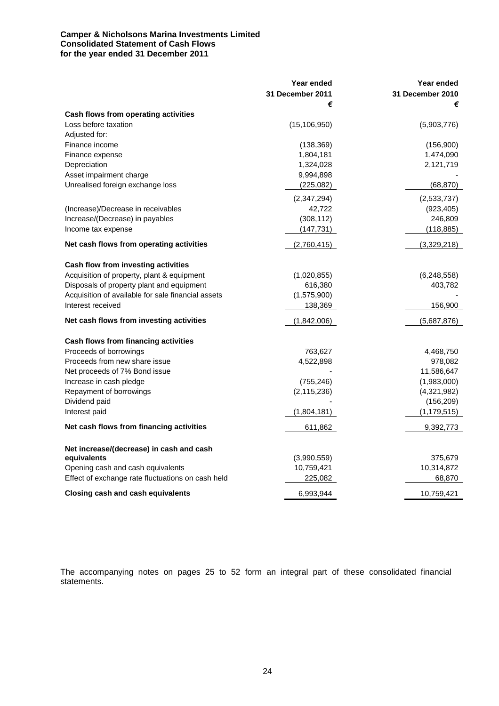## **Camper & Nicholsons Marina Investments Limited Consolidated Statement of Cash Flows for the year ended 31 December 2011**

|                                                    | Year ended<br><b>31 December 2011</b> | Year ended<br>31 December 2010 |
|----------------------------------------------------|---------------------------------------|--------------------------------|
| Cash flows from operating activities               | €                                     | €                              |
| Loss before taxation                               | (15, 106, 950)                        | (5,903,776)                    |
| Adjusted for:                                      |                                       |                                |
| Finance income                                     | (138, 369)                            | (156,900)                      |
| Finance expense                                    | 1,804,181                             | 1,474,090                      |
| Depreciation                                       | 1,324,028                             | 2,121,719                      |
| Asset impairment charge                            | 9,994,898                             |                                |
| Unrealised foreign exchange loss                   | (225,082)                             | (68, 870)                      |
|                                                    | (2,347,294)                           | (2,533,737)                    |
| (Increase)/Decrease in receivables                 | 42,722                                | (923, 405)                     |
| Increase/(Decrease) in payables                    | (308, 112)                            | 246,809                        |
| Income tax expense                                 | (147, 731)                            | (118, 885)                     |
| Net cash flows from operating activities           | (2,760,415)                           | (3,329,218)                    |
| Cash flow from investing activities                |                                       |                                |
| Acquisition of property, plant & equipment         | (1,020,855)                           | (6,248,558)                    |
| Disposals of property plant and equipment          | 616,380                               | 403,782                        |
| Acquisition of available for sale financial assets | (1,575,900)                           |                                |
| Interest received                                  | 138,369                               | 156,900                        |
| Net cash flows from investing activities           | (1,842,006)                           | (5,687,876)                    |
| Cash flows from financing activities               |                                       |                                |
| Proceeds of borrowings                             | 763,627                               | 4,468,750                      |
| Proceeds from new share issue                      | 4,522,898                             | 978,082                        |
| Net proceeds of 7% Bond issue                      |                                       | 11,586,647                     |
| Increase in cash pledge                            | (755, 246)                            | (1,983,000)                    |
| Repayment of borrowings                            | (2, 115, 236)                         | (4,321,982)                    |
| Dividend paid                                      |                                       | (156, 209)                     |
| Interest paid                                      | (1,804,181)                           | (1, 179, 515)                  |
| Net cash flows from financing activities           | 611,862                               | 9,392,773                      |
| Net increase/(decrease) in cash and cash           |                                       |                                |
| equivalents                                        | (3,990,559)                           | 375,679                        |
| Opening cash and cash equivalents                  | 10,759,421                            | 10,314,872                     |
| Effect of exchange rate fluctuations on cash held  | 225,082                               | 68,870                         |
| <b>Closing cash and cash equivalents</b>           | 6,993,944                             | 10,759,421                     |

The accompanying notes on pages 25 to 52 form an integral part of these consolidated financial statements.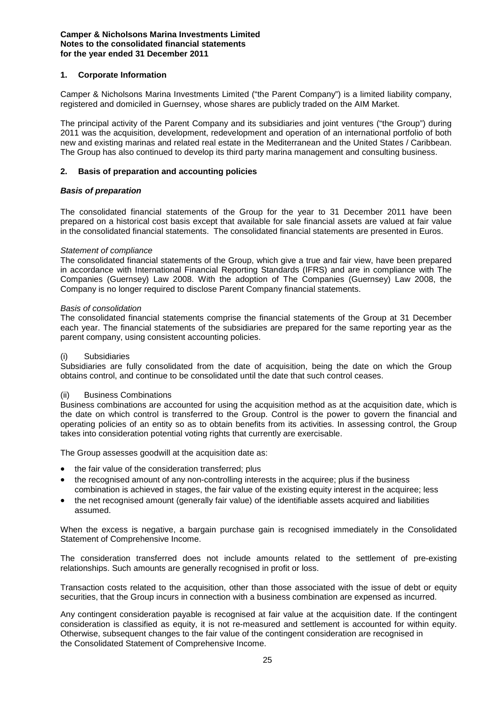## **1. Corporate Information**

Camper & Nicholsons Marina Investments Limited ("the Parent Company") is a limited liability company, registered and domiciled in Guernsey, whose shares are publicly traded on the AIM Market.

The principal activity of the Parent Company and its subsidiaries and joint ventures ("the Group") during 2011 was the acquisition, development, redevelopment and operation of an international portfolio of both new and existing marinas and related real estate in the Mediterranean and the United States / Caribbean. The Group has also continued to develop its third party marina management and consulting business.

## **2. Basis of preparation and accounting policies**

## *Basis of preparation*

The consolidated financial statements of the Group for the year to 31 December 2011 have been prepared on a historical cost basis except that available for sale financial assets are valued at fair value in the consolidated financial statements. The consolidated financial statements are presented in Euros.

#### *Statement of compliance*

The consolidated financial statements of the Group, which give a true and fair view, have been prepared in accordance with International Financial Reporting Standards (IFRS) and are in compliance with The Companies (Guernsey) Law 2008. With the adoption of The Companies (Guernsey) Law 2008, the Company is no longer required to disclose Parent Company financial statements.

#### *Basis of consolidation*

The consolidated financial statements comprise the financial statements of the Group at 31 December each year. The financial statements of the subsidiaries are prepared for the same reporting year as the parent company, using consistent accounting policies.

#### **Subsidiaries**

Subsidiaries are fully consolidated from the date of acquisition, being the date on which the Group obtains control, and continue to be consolidated until the date that such control ceases.

#### (ii) Business Combinations

Business combinations are accounted for using the acquisition method as at the acquisition date, which is the date on which control is transferred to the Group. Control is the power to govern the financial and operating policies of an entity so as to obtain benefits from its activities. In assessing control, the Group takes into consideration potential voting rights that currently are exercisable.

The Group assesses goodwill at the acquisition date as:

- the fair value of the consideration transferred; plus
- the recognised amount of any non-controlling interests in the acquiree; plus if the business combination is achieved in stages, the fair value of the existing equity interest in the acquiree; less
- the net recognised amount (generally fair value) of the identifiable assets acquired and liabilities assumed.

When the excess is negative, a bargain purchase gain is recognised immediately in the Consolidated Statement of Comprehensive Income.

The consideration transferred does not include amounts related to the settlement of pre-existing relationships. Such amounts are generally recognised in profit or loss.

Transaction costs related to the acquisition, other than those associated with the issue of debt or equity securities, that the Group incurs in connection with a business combination are expensed as incurred.

Any contingent consideration payable is recognised at fair value at the acquisition date. If the contingent consideration is classified as equity, it is not re-measured and settlement is accounted for within equity. Otherwise, subsequent changes to the fair value of the contingent consideration are recognised in the Consolidated Statement of Comprehensive Income.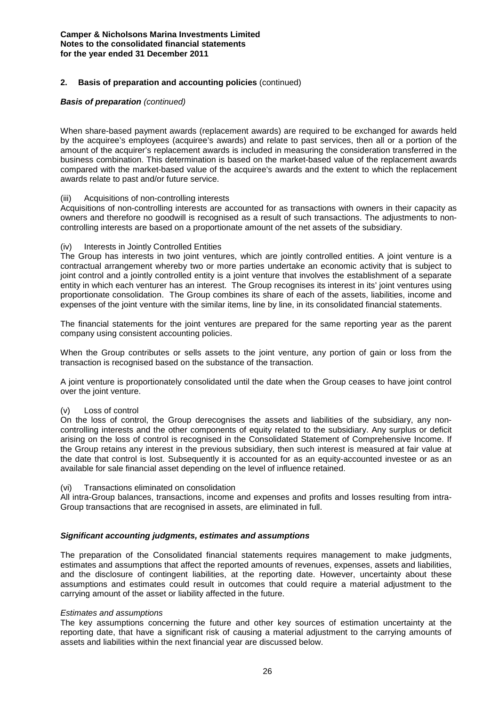## **2. Basis of preparation and accounting policies** (continued)

#### *Basis of preparation (continued)*

When share-based payment awards (replacement awards) are required to be exchanged for awards held by the acquiree's employees (acquiree's awards) and relate to past services, then all or a portion of the amount of the acquirer's replacement awards is included in measuring the consideration transferred in the business combination. This determination is based on the market-based value of the replacement awards compared with the market-based value of the acquiree's awards and the extent to which the replacement awards relate to past and/or future service.

#### (iii) Acquisitions of non-controlling interests

Acquisitions of non-controlling interests are accounted for as transactions with owners in their capacity as owners and therefore no goodwill is recognised as a result of such transactions. The adjustments to noncontrolling interests are based on a proportionate amount of the net assets of the subsidiary.

## (iv) Interests in Jointly Controlled Entities

The Group has interests in two joint ventures, which are jointly controlled entities. A joint venture is a contractual arrangement whereby two or more parties undertake an economic activity that is subject to joint control and a jointly controlled entity is a joint venture that involves the establishment of a separate entity in which each venturer has an interest. The Group recognises its interest in its' joint ventures using proportionate consolidation. The Group combines its share of each of the assets, liabilities, income and expenses of the joint venture with the similar items, line by line, in its consolidated financial statements.

The financial statements for the joint ventures are prepared for the same reporting year as the parent company using consistent accounting policies.

When the Group contributes or sells assets to the joint venture, any portion of gain or loss from the transaction is recognised based on the substance of the transaction.

A joint venture is proportionately consolidated until the date when the Group ceases to have joint control over the joint venture.

#### (v) Loss of control

On the loss of control, the Group derecognises the assets and liabilities of the subsidiary, any noncontrolling interests and the other components of equity related to the subsidiary. Any surplus or deficit arising on the loss of control is recognised in the Consolidated Statement of Comprehensive Income. If the Group retains any interest in the previous subsidiary, then such interest is measured at fair value at the date that control is lost. Subsequently it is accounted for as an equity-accounted investee or as an available for sale financial asset depending on the level of influence retained.

#### (vi) Transactions eliminated on consolidation

All intra-Group balances, transactions, income and expenses and profits and losses resulting from intra-Group transactions that are recognised in assets, are eliminated in full.

#### *Significant accounting judgments, estimates and assumptions*

The preparation of the Consolidated financial statements requires management to make judgments, estimates and assumptions that affect the reported amounts of revenues, expenses, assets and liabilities, and the disclosure of contingent liabilities, at the reporting date. However, uncertainty about these assumptions and estimates could result in outcomes that could require a material adjustment to the carrying amount of the asset or liability affected in the future.

#### *Estimates and assumptions*

The key assumptions concerning the future and other key sources of estimation uncertainty at the reporting date, that have a significant risk of causing a material adjustment to the carrying amounts of assets and liabilities within the next financial year are discussed below.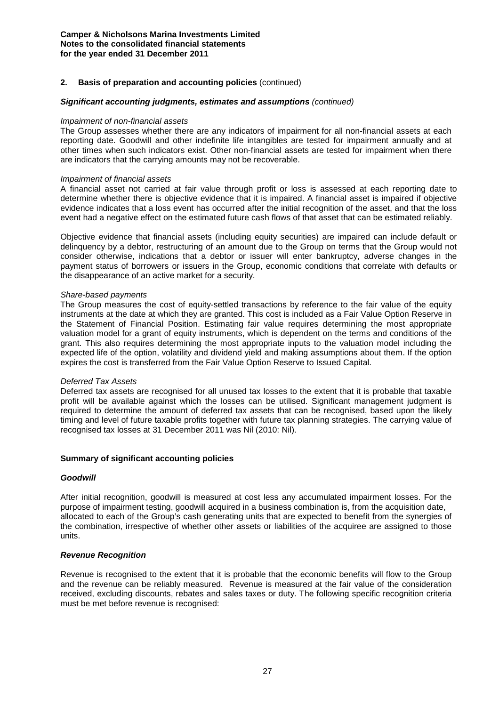## **2. Basis of preparation and accounting policies** (continued)

#### *Significant accounting judgments, estimates and assumptions (continued)*

#### *Impairment of non-financial assets*

The Group assesses whether there are any indicators of impairment for all non-financial assets at each reporting date. Goodwill and other indefinite life intangibles are tested for impairment annually and at other times when such indicators exist. Other non-financial assets are tested for impairment when there are indicators that the carrying amounts may not be recoverable.

#### *Impairment of financial assets*

A financial asset not carried at fair value through profit or loss is assessed at each reporting date to determine whether there is objective evidence that it is impaired. A financial asset is impaired if objective evidence indicates that a loss event has occurred after the initial recognition of the asset, and that the loss event had a negative effect on the estimated future cash flows of that asset that can be estimated reliably.

Objective evidence that financial assets (including equity securities) are impaired can include default or delinquency by a debtor, restructuring of an amount due to the Group on terms that the Group would not consider otherwise, indications that a debtor or issuer will enter bankruptcy, adverse changes in the payment status of borrowers or issuers in the Group, economic conditions that correlate with defaults or the disappearance of an active market for a security.

#### *Share-based payments*

The Group measures the cost of equity-settled transactions by reference to the fair value of the equity instruments at the date at which they are granted. This cost is included as a Fair Value Option Reserve in the Statement of Financial Position. Estimating fair value requires determining the most appropriate valuation model for a grant of equity instruments, which is dependent on the terms and conditions of the grant. This also requires determining the most appropriate inputs to the valuation model including the expected life of the option, volatility and dividend yield and making assumptions about them. If the option expires the cost is transferred from the Fair Value Option Reserve to Issued Capital.

#### *Deferred Tax Assets*

Deferred tax assets are recognised for all unused tax losses to the extent that it is probable that taxable profit will be available against which the losses can be utilised. Significant management judgment is required to determine the amount of deferred tax assets that can be recognised, based upon the likely timing and level of future taxable profits together with future tax planning strategies. The carrying value of recognised tax losses at 31 December 2011 was Nil (2010: Nil).

#### **Summary of significant accounting policies**

#### *Goodwill*

After initial recognition, goodwill is measured at cost less any accumulated impairment losses. For the purpose of impairment testing, goodwill acquired in a business combination is, from the acquisition date, allocated to each of the Group's cash generating units that are expected to benefit from the synergies of the combination, irrespective of whether other assets or liabilities of the acquiree are assigned to those units.

#### *Revenue Recognition*

Revenue is recognised to the extent that it is probable that the economic benefits will flow to the Group and the revenue can be reliably measured. Revenue is measured at the fair value of the consideration received, excluding discounts, rebates and sales taxes or duty. The following specific recognition criteria must be met before revenue is recognised: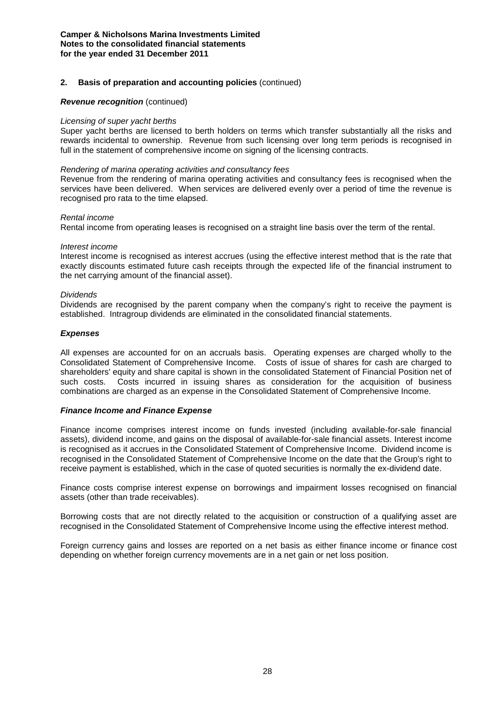#### **2. Basis of preparation and accounting policies** (continued)

#### *Revenue recognition* (continued)

#### *Licensing of super yacht berths*

Super yacht berths are licensed to berth holders on terms which transfer substantially all the risks and rewards incidental to ownership. Revenue from such licensing over long term periods is recognised in full in the statement of comprehensive income on signing of the licensing contracts.

#### *Rendering of marina operating activities and consultancy fees*

Revenue from the rendering of marina operating activities and consultancy fees is recognised when the services have been delivered. When services are delivered evenly over a period of time the revenue is recognised pro rata to the time elapsed.

#### *Rental income*

Rental income from operating leases is recognised on a straight line basis over the term of the rental.

#### *Interest income*

Interest income is recognised as interest accrues (using the effective interest method that is the rate that exactly discounts estimated future cash receipts through the expected life of the financial instrument to the net carrying amount of the financial asset).

#### *Dividends*

Dividends are recognised by the parent company when the company's right to receive the payment is established. Intragroup dividends are eliminated in the consolidated financial statements.

#### *Expenses*

All expenses are accounted for on an accruals basis. Operating expenses are charged wholly to the Consolidated Statement of Comprehensive Income. Costs of issue of shares for cash are charged to shareholders' equity and share capital is shown in the consolidated Statement of Financial Position net of such costs. Costs incurred in issuing shares as consideration for the acquisition of business combinations are charged as an expense in the Consolidated Statement of Comprehensive Income.

#### *Finance Income and Finance Expense*

Finance income comprises interest income on funds invested (including available-for-sale financial assets), dividend income, and gains on the disposal of available-for-sale financial assets. Interest income is recognised as it accrues in the Consolidated Statement of Comprehensive Income. Dividend income is recognised in the Consolidated Statement of Comprehensive Income on the date that the Group's right to receive payment is established, which in the case of quoted securities is normally the ex-dividend date.

Finance costs comprise interest expense on borrowings and impairment losses recognised on financial assets (other than trade receivables).

Borrowing costs that are not directly related to the acquisition or construction of a qualifying asset are recognised in the Consolidated Statement of Comprehensive Income using the effective interest method.

Foreign currency gains and losses are reported on a net basis as either finance income or finance cost depending on whether foreign currency movements are in a net gain or net loss position.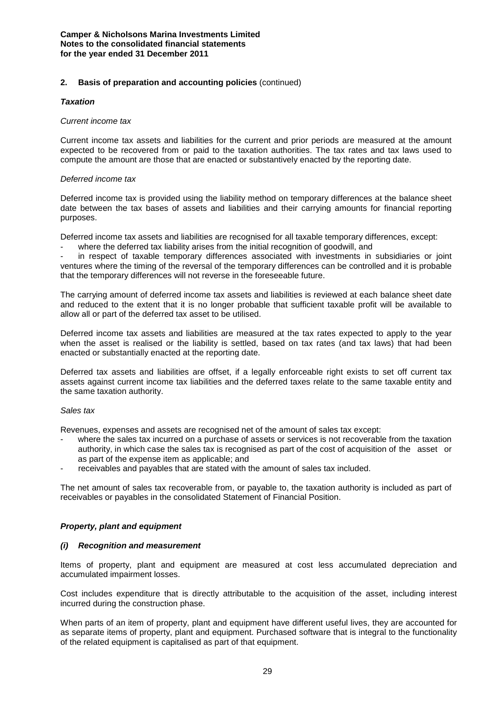#### *Taxation*

#### *Current income tax*

Current income tax assets and liabilities for the current and prior periods are measured at the amount expected to be recovered from or paid to the taxation authorities. The tax rates and tax laws used to compute the amount are those that are enacted or substantively enacted by the reporting date.

#### *Deferred income tax*

Deferred income tax is provided using the liability method on temporary differences at the balance sheet date between the tax bases of assets and liabilities and their carrying amounts for financial reporting purposes.

Deferred income tax assets and liabilities are recognised for all taxable temporary differences, except:

where the deferred tax liability arises from the initial recognition of goodwill, and

in respect of taxable temporary differences associated with investments in subsidiaries or joint ventures where the timing of the reversal of the temporary differences can be controlled and it is probable that the temporary differences will not reverse in the foreseeable future.

The carrying amount of deferred income tax assets and liabilities is reviewed at each balance sheet date and reduced to the extent that it is no longer probable that sufficient taxable profit will be available to allow all or part of the deferred tax asset to be utilised.

Deferred income tax assets and liabilities are measured at the tax rates expected to apply to the year when the asset is realised or the liability is settled, based on tax rates (and tax laws) that had been enacted or substantially enacted at the reporting date.

Deferred tax assets and liabilities are offset, if a legally enforceable right exists to set off current tax assets against current income tax liabilities and the deferred taxes relate to the same taxable entity and the same taxation authority.

#### *Sales tax*

Revenues, expenses and assets are recognised net of the amount of sales tax except:

- where the sales tax incurred on a purchase of assets or services is not recoverable from the taxation authority, in which case the sales tax is recognised as part of the cost of acquisition of the asset or as part of the expense item as applicable; and
- receivables and payables that are stated with the amount of sales tax included.

The net amount of sales tax recoverable from, or payable to, the taxation authority is included as part of receivables or payables in the consolidated Statement of Financial Position.

## *Property, plant and equipment*

#### *(i) Recognition and measurement*

Items of property, plant and equipment are measured at cost less accumulated depreciation and accumulated impairment losses.

Cost includes expenditure that is directly attributable to the acquisition of the asset, including interest incurred during the construction phase.

When parts of an item of property, plant and equipment have different useful lives, they are accounted for as separate items of property, plant and equipment. Purchased software that is integral to the functionality of the related equipment is capitalised as part of that equipment.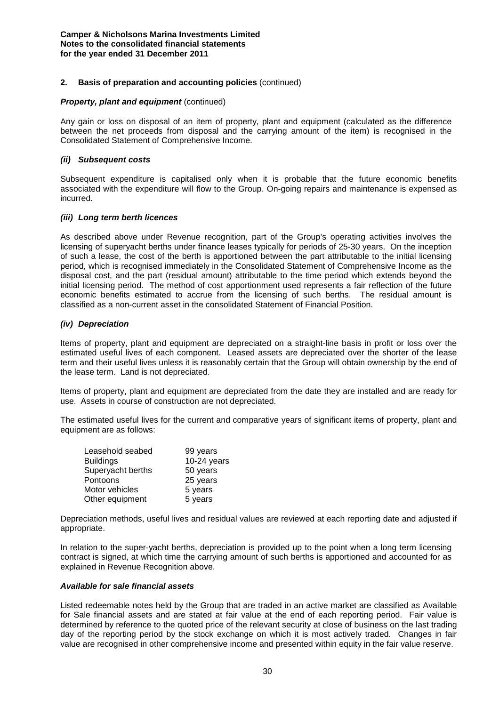#### *Property, plant and equipment* (continued)

Any gain or loss on disposal of an item of property, plant and equipment (calculated as the difference between the net proceeds from disposal and the carrying amount of the item) is recognised in the Consolidated Statement of Comprehensive Income.

## *(ii) Subsequent costs*

Subsequent expenditure is capitalised only when it is probable that the future economic benefits associated with the expenditure will flow to the Group. On-going repairs and maintenance is expensed as incurred.

## *(iii) Long term berth licences*

As described above under Revenue recognition, part of the Group's operating activities involves the licensing of superyacht berths under finance leases typically for periods of 25-30 years. On the inception of such a lease, the cost of the berth is apportioned between the part attributable to the initial licensing period, which is recognised immediately in the Consolidated Statement of Comprehensive Income as the disposal cost, and the part (residual amount) attributable to the time period which extends beyond the initial licensing period. The method of cost apportionment used represents a fair reflection of the future economic benefits estimated to accrue from the licensing of such berths. The residual amount is classified as a non-current asset in the consolidated Statement of Financial Position.

## *(iv) Depreciation*

Items of property, plant and equipment are depreciated on a straight-line basis in profit or loss over the estimated useful lives of each component. Leased assets are depreciated over the shorter of the lease term and their useful lives unless it is reasonably certain that the Group will obtain ownership by the end of the lease term. Land is not depreciated.

Items of property, plant and equipment are depreciated from the date they are installed and are ready for use. Assets in course of construction are not depreciated.

The estimated useful lives for the current and comparative years of significant items of property, plant and equipment are as follows:

| Leasehold seabed  | 99 years      |
|-------------------|---------------|
| <b>Buildings</b>  | $10-24$ years |
| Superyacht berths | 50 years      |
| Pontoons          | 25 years      |
| Motor vehicles    | 5 years       |
| Other equipment   | 5 years       |

Depreciation methods, useful lives and residual values are reviewed at each reporting date and adjusted if appropriate.

In relation to the super-yacht berths, depreciation is provided up to the point when a long term licensing contract is signed, at which time the carrying amount of such berths is apportioned and accounted for as explained in Revenue Recognition above.

#### *Available for sale financial assets*

Listed redeemable notes held by the Group that are traded in an active market are classified as Available for Sale financial assets and are stated at fair value at the end of each reporting period. Fair value is determined by reference to the quoted price of the relevant security at close of business on the last trading day of the reporting period by the stock exchange on which it is most actively traded. Changes in fair value are recognised in other comprehensive income and presented within equity in the fair value reserve.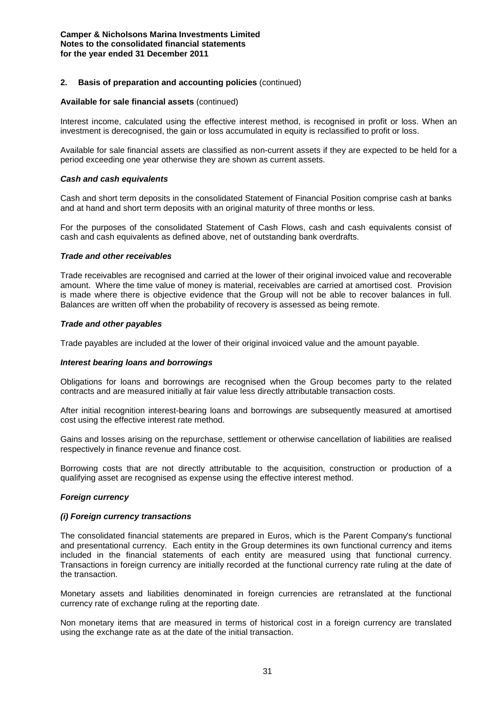#### **Available for sale financial assets** (continued)

Interest income, calculated using the effective interest method, is recognised in profit or loss. When an investment is derecognised, the gain or loss accumulated in equity is reclassified to profit or loss.

Available for sale financial assets are classified as non-current assets if they are expected to be held for a period exceeding one year otherwise they are shown as current assets.

#### *Cash and cash equivalents*

Cash and short term deposits in the consolidated Statement of Financial Position comprise cash at banks and at hand and short term deposits with an original maturity of three months or less.

For the purposes of the consolidated Statement of Cash Flows, cash and cash equivalents consist of cash and cash equivalents as defined above, net of outstanding bank overdrafts.

#### *Trade and other receivables*

Trade receivables are recognised and carried at the lower of their original invoiced value and recoverable amount. Where the time value of money is material, receivables are carried at amortised cost. Provision is made where there is objective evidence that the Group will not be able to recover balances in full. Balances are written off when the probability of recovery is assessed as being remote.

#### *Trade and other payables*

Trade payables are included at the lower of their original invoiced value and the amount payable.

#### *Interest bearing loans and borrowings*

Obligations for loans and borrowings are recognised when the Group becomes party to the related contracts and are measured initially at fair value less directly attributable transaction costs.

After initial recognition interest-bearing loans and borrowings are subsequently measured at amortised cost using the effective interest rate method.

Gains and losses arising on the repurchase, settlement or otherwise cancellation of liabilities are realised respectively in finance revenue and finance cost.

Borrowing costs that are not directly attributable to the acquisition, construction or production of a qualifying asset are recognised as expense using the effective interest method.

#### *Foreign currency*

#### *(i) Foreign currency transactions*

The consolidated financial statements are prepared in Euros, which is the Parent Company's functional and presentational currency. Each entity in the Group determines its own functional currency and items included in the financial statements of each entity are measured using that functional currency. Transactions in foreign currency are initially recorded at the functional currency rate ruling at the date of the transaction.

Monetary assets and liabilities denominated in foreign currencies are retranslated at the functional currency rate of exchange ruling at the reporting date.

Non monetary items that are measured in terms of historical cost in a foreign currency are translated using the exchange rate as at the date of the initial transaction.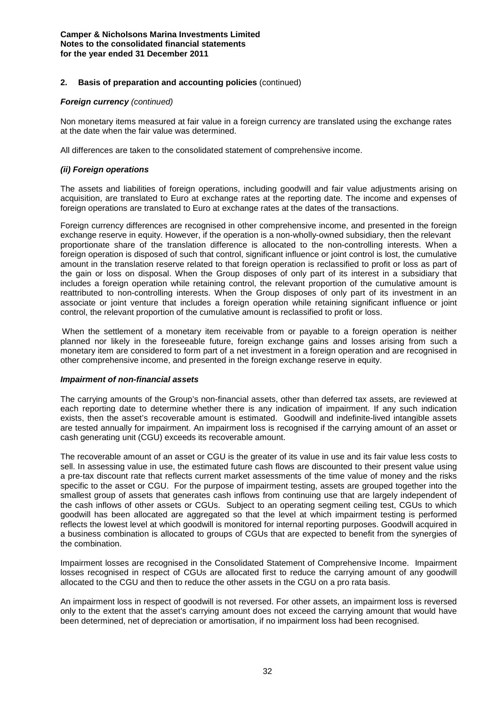#### *Foreign currency (continued)*

Non monetary items measured at fair value in a foreign currency are translated using the exchange rates at the date when the fair value was determined.

All differences are taken to the consolidated statement of comprehensive income.

## *(ii) Foreign operations*

The assets and liabilities of foreign operations, including goodwill and fair value adjustments arising on acquisition, are translated to Euro at exchange rates at the reporting date. The income and expenses of foreign operations are translated to Euro at exchange rates at the dates of the transactions.

Foreign currency differences are recognised in other comprehensive income, and presented in the foreign exchange reserve in equity. However, if the operation is a non-wholly-owned subsidiary, then the relevant proportionate share of the translation difference is allocated to the non-controlling interests. When a foreign operation is disposed of such that control, significant influence or joint control is lost, the cumulative amount in the translation reserve related to that foreign operation is reclassified to profit or loss as part of the gain or loss on disposal. When the Group disposes of only part of its interest in a subsidiary that includes a foreign operation while retaining control, the relevant proportion of the cumulative amount is reattributed to non-controlling interests. When the Group disposes of only part of its investment in an associate or joint venture that includes a foreign operation while retaining significant influence or joint control, the relevant proportion of the cumulative amount is reclassified to profit or loss.

When the settlement of a monetary item receivable from or payable to a foreign operation is neither planned nor likely in the foreseeable future, foreign exchange gains and losses arising from such a monetary item are considered to form part of a net investment in a foreign operation and are recognised in other comprehensive income, and presented in the foreign exchange reserve in equity.

#### *Impairment of non-financial assets*

The carrying amounts of the Group's non-financial assets, other than deferred tax assets, are reviewed at each reporting date to determine whether there is any indication of impairment. If any such indication exists, then the asset's recoverable amount is estimated. Goodwill and indefinite-lived intangible assets are tested annually for impairment. An impairment loss is recognised if the carrying amount of an asset or cash generating unit (CGU) exceeds its recoverable amount.

The recoverable amount of an asset or CGU is the greater of its value in use and its fair value less costs to sell. In assessing value in use, the estimated future cash flows are discounted to their present value using a pre-tax discount rate that reflects current market assessments of the time value of money and the risks specific to the asset or CGU. For the purpose of impairment testing, assets are grouped together into the smallest group of assets that generates cash inflows from continuing use that are largely independent of the cash inflows of other assets or CGUs. Subject to an operating segment ceiling test, CGUs to which goodwill has been allocated are aggregated so that the level at which impairment testing is performed reflects the lowest level at which goodwill is monitored for internal reporting purposes. Goodwill acquired in a business combination is allocated to groups of CGUs that are expected to benefit from the synergies of the combination.

Impairment losses are recognised in the Consolidated Statement of Comprehensive Income. Impairment losses recognised in respect of CGUs are allocated first to reduce the carrying amount of any goodwill allocated to the CGU and then to reduce the other assets in the CGU on a pro rata basis.

An impairment loss in respect of goodwill is not reversed. For other assets, an impairment loss is reversed only to the extent that the asset's carrying amount does not exceed the carrying amount that would have been determined, net of depreciation or amortisation, if no impairment loss had been recognised.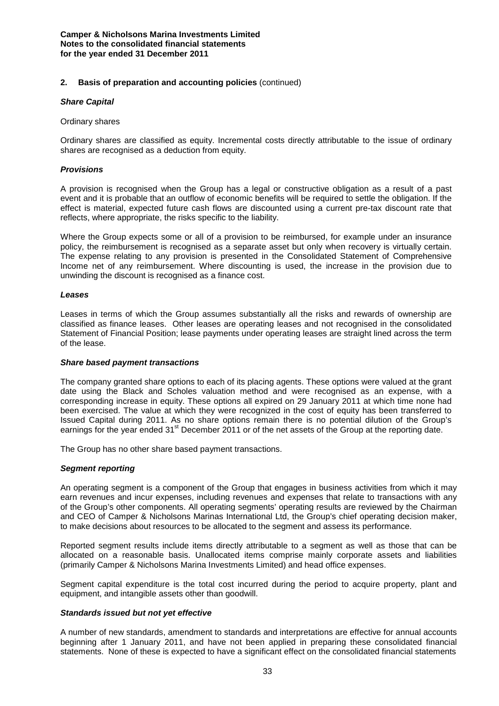#### *Share Capital*

#### Ordinary shares

Ordinary shares are classified as equity. Incremental costs directly attributable to the issue of ordinary shares are recognised as a deduction from equity.

## *Provisions*

A provision is recognised when the Group has a legal or constructive obligation as a result of a past event and it is probable that an outflow of economic benefits will be required to settle the obligation. If the effect is material, expected future cash flows are discounted using a current pre-tax discount rate that reflects, where appropriate, the risks specific to the liability.

Where the Group expects some or all of a provision to be reimbursed, for example under an insurance policy, the reimbursement is recognised as a separate asset but only when recovery is virtually certain. The expense relating to any provision is presented in the Consolidated Statement of Comprehensive Income net of any reimbursement. Where discounting is used, the increase in the provision due to unwinding the discount is recognised as a finance cost.

#### *Leases*

Leases in terms of which the Group assumes substantially all the risks and rewards of ownership are classified as finance leases. Other leases are operating leases and not recognised in the consolidated Statement of Financial Position; lease payments under operating leases are straight lined across the term of the lease.

#### *Share based payment transactions*

The company granted share options to each of its placing agents. These options were valued at the grant date using the Black and Scholes valuation method and were recognised as an expense, with a corresponding increase in equity. These options all expired on 29 January 2011 at which time none had been exercised. The value at which they were recognized in the cost of equity has been transferred to Issued Capital during 2011. As no share options remain there is no potential dilution of the Group's earnings for the year ended 31<sup>st</sup> December 2011 or of the net assets of the Group at the reporting date.

The Group has no other share based payment transactions.

## *Segment reporting*

An operating segment is a component of the Group that engages in business activities from which it may earn revenues and incur expenses, including revenues and expenses that relate to transactions with any of the Group's other components. All operating segments' operating results are reviewed by the Chairman and CEO of Camper & Nicholsons Marinas International Ltd, the Group's chief operating decision maker, to make decisions about resources to be allocated to the segment and assess its performance.

Reported segment results include items directly attributable to a segment as well as those that can be allocated on a reasonable basis. Unallocated items comprise mainly corporate assets and liabilities (primarily Camper & Nicholsons Marina Investments Limited) and head office expenses.

Segment capital expenditure is the total cost incurred during the period to acquire property, plant and equipment, and intangible assets other than goodwill.

#### *Standards issued but not yet effective*

A number of new standards, amendment to standards and interpretations are effective for annual accounts beginning after 1 January 2011, and have not been applied in preparing these consolidated financial statements. None of these is expected to have a significant effect on the consolidated financial statements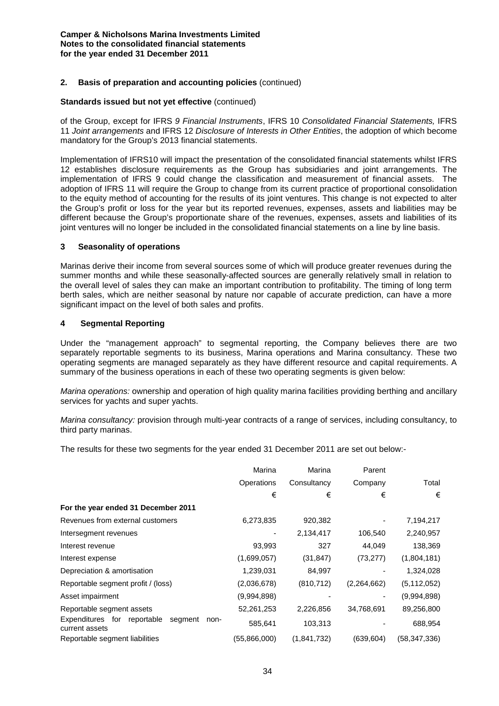## **2. Basis of preparation and accounting policies** (continued)

#### **Standards issued but not yet effective** (continued)

of the Group, except for IFRS *9 Financial Instruments*, IFRS 10 *Consolidated Financial Statements,* IFRS 11 *Joint arrangements* and IFRS 12 *Disclosure of Interests in Other Entities*, the adoption of which become mandatory for the Group's 2013 financial statements.

Implementation of IFRS10 will impact the presentation of the consolidated financial statements whilst IFRS 12 establishes disclosure requirements as the Group has subsidiaries and joint arrangements. The implementation of IFRS 9 could change the classification and measurement of financial assets. The adoption of IFRS 11 will require the Group to change from its current practice of proportional consolidation to the equity method of accounting for the results of its joint ventures. This change is not expected to alter the Group's profit or loss for the year but its reported revenues, expenses, assets and liabilities may be different because the Group's proportionate share of the revenues, expenses, assets and liabilities of its joint ventures will no longer be included in the consolidated financial statements on a line by line basis.

#### **3 Seasonality of operations**

Marinas derive their income from several sources some of which will produce greater revenues during the summer months and while these seasonally-affected sources are generally relatively small in relation to the overall level of sales they can make an important contribution to profitability. The timing of long term berth sales, which are neither seasonal by nature nor capable of accurate prediction, can have a more significant impact on the level of both sales and profits.

#### **4 Segmental Reporting**

Under the "management approach" to segmental reporting, the Company believes there are two separately reportable segments to its business, Marina operations and Marina consultancy. These two operating segments are managed separately as they have different resource and capital requirements. A summary of the business operations in each of these two operating segments is given below:

*Marina operations:* ownership and operation of high quality marina facilities providing berthing and ancillary services for yachts and super yachts.

*Marina consultancy:* provision through multi-year contracts of a range of services, including consultancy, to third party marinas.

The results for these two segments for the year ended 31 December 2011 are set out below:-

|                                                                     | Marina       | Marina      | Parent      |               |
|---------------------------------------------------------------------|--------------|-------------|-------------|---------------|
|                                                                     | Operations   | Consultancy | Company     | Total         |
|                                                                     | €            | €           | €           | €             |
| For the year ended 31 December 2011                                 |              |             |             |               |
| Revenues from external customers                                    | 6,273,835    | 920,382     |             | 7,194,217     |
| Intersegment revenues                                               |              | 2,134,417   | 106,540     | 2,240,957     |
| Interest revenue                                                    | 93,993       | 327         | 44,049      | 138,369       |
| Interest expense                                                    | (1,699,057)  | (31, 847)   | (73, 277)   | (1,804,181)   |
| Depreciation & amortisation                                         | 1,239,031    | 84,997      |             | 1,324,028     |
| Reportable segment profit / (loss)                                  | (2,036,678)  | (810, 712)  | (2,264,662) | (5, 112, 052) |
| Asset impairment                                                    | (9,994,898)  |             | ٠           | (9,994,898)   |
| Reportable segment assets                                           | 52,261,253   | 2,226,856   | 34,768,691  | 89,256,800    |
| Expenditures for<br>reportable<br>segment<br>non-<br>current assets | 585,641      | 103,313     |             | 688,954       |
| Reportable segment liabilities                                      | (55,866,000) | (1,841,732) | (639,604)   | (58,347,336)  |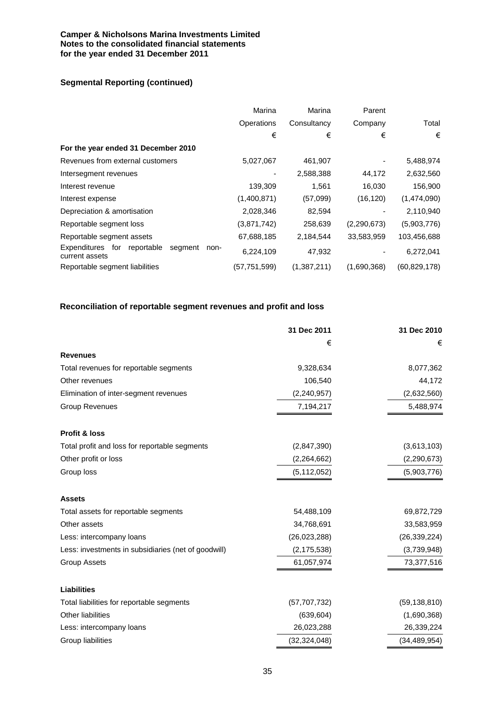## **Segmental Reporting (continued)**

|                                                                     | Marina       | Marina      | Parent      |                |
|---------------------------------------------------------------------|--------------|-------------|-------------|----------------|
|                                                                     | Operations   | Consultancy | Company     | Total          |
|                                                                     | €            | €           | €           | €              |
| For the year ended 31 December 2010                                 |              |             |             |                |
| Revenues from external customers                                    | 5,027,067    | 461,907     |             | 5,488,974      |
| Intersegment revenues                                               |              | 2,588,388   | 44,172      | 2,632,560      |
| Interest revenue                                                    | 139,309      | 1.561       | 16,030      | 156,900        |
| Interest expense                                                    | (1,400,871)  | (57,099)    | (16, 120)   | (1,474,090)    |
| Depreciation & amortisation                                         | 2,028,346    | 82,594      |             | 2,110,940      |
| Reportable segment loss                                             | (3,871,742)  | 258,639     | (2,290,673) | (5,903,776)    |
| Reportable segment assets                                           | 67,688,185   | 2,184,544   | 33,583,959  | 103,456,688    |
| Expenditures for<br>reportable<br>segment<br>non-<br>current assets | 6,224,109    | 47,932      |             | 6,272,041      |
| Reportable segment liabilities                                      | (57,751,599) | (1,387,211) | (1,690,368) | (60, 829, 178) |

## **Reconciliation of reportable segment revenues and profit and loss**

|                                                     | 31 Dec 2011    | 31 Dec 2010    |
|-----------------------------------------------------|----------------|----------------|
|                                                     | €              | €              |
| <b>Revenues</b>                                     |                |                |
| Total revenues for reportable segments              | 9,328,634      | 8,077,362      |
| Other revenues                                      | 106,540        | 44,172         |
| Elimination of inter-segment revenues               | (2, 240, 957)  | (2,632,560)    |
| <b>Group Revenues</b>                               | 7,194,217      | 5,488,974      |
| Profit & loss                                       |                |                |
| Total profit and loss for reportable segments       | (2,847,390)    | (3,613,103)    |
| Other profit or loss                                | (2,264,662)    | (2, 290, 673)  |
| Group loss                                          | (5, 112, 052)  | (5,903,776)    |
| <b>Assets</b>                                       |                |                |
| Total assets for reportable segments                | 54,488,109     | 69,872,729     |
| Other assets                                        | 34,768,691     | 33,583,959     |
| Less: intercompany loans                            | (26,023,288)   | (26, 339, 224) |
| Less: investments in subsidiaries (net of goodwill) | (2, 175, 538)  | (3,739,948)    |
| <b>Group Assets</b>                                 | 61,057,974     | 73,377,516     |
| <b>Liabilities</b>                                  |                |                |
| Total liabilities for reportable segments           | (57, 707, 732) | (59, 138, 810) |
| Other liabilities                                   | (639, 604)     | (1,690,368)    |
| Less: intercompany loans                            | 26,023,288     | 26,339,224     |
| Group liabilities                                   | (32, 324, 048) | (34, 489, 954) |
|                                                     |                |                |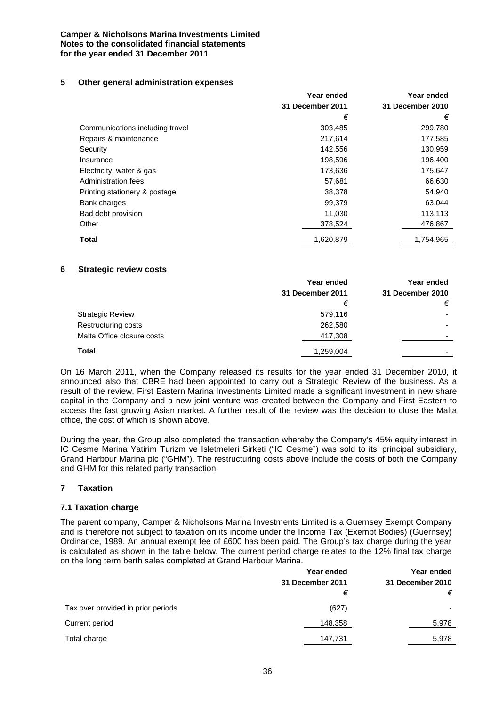## **5 Other general administration expenses**

|                                 | Year ended              | Year ended       |
|---------------------------------|-------------------------|------------------|
|                                 | <b>31 December 2011</b> | 31 December 2010 |
|                                 | €                       | €                |
| Communications including travel | 303,485                 | 299,780          |
| Repairs & maintenance           | 217.614                 | 177,585          |
| Security                        | 142,556                 | 130,959          |
| Insurance                       | 198,596                 | 196,400          |
| Electricity, water & gas        | 173,636                 | 175,647          |
| Administration fees             | 57,681                  | 66,630           |
| Printing stationery & postage   | 38,378                  | 54,940           |
| Bank charges                    | 99,379                  | 63,044           |
| Bad debt provision              | 11,030                  | 113,113          |
| Other                           | 378,524                 | 476,867          |
| <b>Total</b>                    | 1,620,879               | 1,754,965        |

## **6 Strategic review costs**

|                            | Year ended       | Year ended               |
|----------------------------|------------------|--------------------------|
|                            | 31 December 2011 | 31 December 2010         |
|                            | €                | €                        |
| <b>Strategic Review</b>    | 579,116          |                          |
| Restructuring costs        | 262,580          |                          |
| Malta Office closure costs | 417,308          | $\overline{\phantom{0}}$ |
| Total                      | 1,259,004        |                          |

On 16 March 2011, when the Company released its results for the year ended 31 December 2010, it announced also that CBRE had been appointed to carry out a Strategic Review of the business. As a result of the review, First Eastern Marina Investments Limited made a significant investment in new share capital in the Company and a new joint venture was created between the Company and First Eastern to access the fast growing Asian market. A further result of the review was the decision to close the Malta office, the cost of which is shown above.

During the year, the Group also completed the transaction whereby the Company's 45% equity interest in IC Cesme Marina Yatirim Turizm ve Isletmeleri Sirketi ("IC Cesme") was sold to its' principal subsidiary, Grand Harbour Marina plc ("GHM"). The restructuring costs above include the costs of both the Company and GHM for this related party transaction.

## **7 Taxation**

## **7.1 Taxation charge**

The parent company, Camper & Nicholsons Marina Investments Limited is a Guernsey Exempt Company and is therefore not subject to taxation on its income under the Income Tax (Exempt Bodies) (Guernsey) Ordinance, 1989. An annual exempt fee of £600 has been paid. The Group's tax charge during the year is calculated as shown in the table below. The current period charge relates to the 12% final tax charge on the long term berth sales completed at Grand Harbour Marina.

|                                    | Year ended       | Year ended       |
|------------------------------------|------------------|------------------|
|                                    | 31 December 2011 | 31 December 2010 |
|                                    | €                | €                |
| Tax over provided in prior periods | (627)            |                  |
| Current period                     | 148,358          | 5,978            |
| Total charge                       | 147,731          | 5,978            |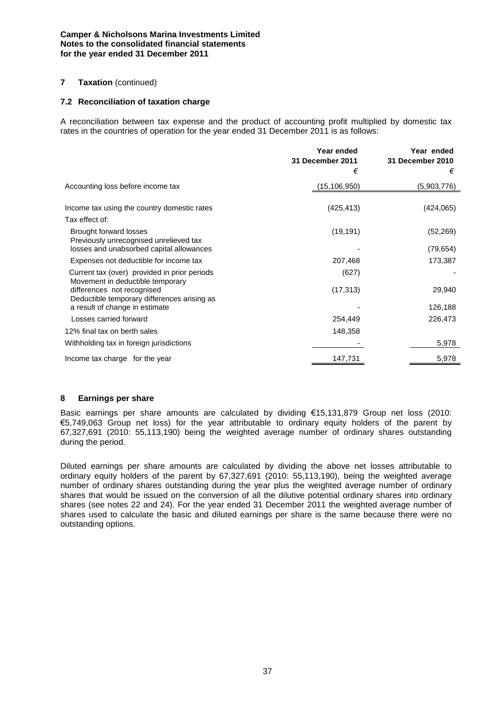## **7 Taxation** (continued)

## **7.2 Reconciliation of taxation charge**

A reconciliation between tax expense and the product of accounting profit multiplied by domestic tax rates in the countries of operation for the year ended 31 December 2011 is as follows:

|                                                                                  | Year ended<br>31 December 2011 | Year ended<br>31 December 2010 |
|----------------------------------------------------------------------------------|--------------------------------|--------------------------------|
|                                                                                  | €                              | €                              |
| Accounting loss before income tax                                                | (15, 106, 950)                 | (5,903,776)                    |
| Income tax using the country domestic rates                                      | (425, 413)                     | (424, 065)                     |
| Tax effect of:                                                                   |                                |                                |
| Brought forward losses<br>Previously unrecognised unrelieved tax                 | (19, 191)                      | (52, 269)                      |
| losses and unabsorbed capital allowances                                         |                                | (79, 654)                      |
| Expenses not deductible for income tax                                           | 207,468                        | 173,387                        |
| Current tax (over) provided in prior periods<br>Movement in deductible temporary | (627)                          |                                |
| differences not recognised<br>Deductible temporary differences arising as        | (17, 313)                      | 29,940                         |
| a result of change in estimate                                                   |                                | 126,188                        |
| Losses carried forward                                                           | 254,449                        | 226,473                        |
| 12% final tax on berth sales                                                     | 148,358                        |                                |
| Withholding tax in foreign jurisdictions                                         |                                | 5,978                          |
| Income tax charge for the year                                                   | 147,731                        | 5,978                          |

#### **8 Earnings per share**

Basic earnings per share amounts are calculated by dividing €15,131,879 Group net loss (2010: €5,749,063 Group net loss) for the year attributable to ordinary equity holders of the parent by 67,327,691 (2010: 55,113,190) being the weighted average number of ordinary shares outstanding during the period.

Diluted earnings per share amounts are calculated by dividing the above net losses attributable to ordinary equity holders of the parent by 67,327,691 (2010: 55,113,190), being the weighted average number of ordinary shares outstanding during the year plus the weighted average number of ordinary shares that would be issued on the conversion of all the dilutive potential ordinary shares into ordinary shares (see notes 22 and 24). For the year ended 31 December 2011 the weighted average number of shares used to calculate the basic and diluted earnings per share is the same because there were no outstanding options.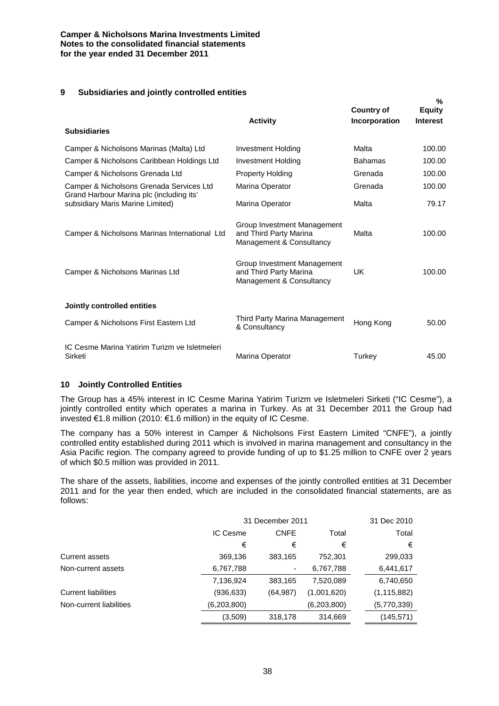## **9 Subsidiaries and jointly controlled entities**

| <b>Subsidiaries</b>                                                          | <b>Activity</b>                                                                   | <b>Country of</b><br>Incorporation | $\%$<br><b>Equity</b><br><b>Interest</b> |
|------------------------------------------------------------------------------|-----------------------------------------------------------------------------------|------------------------------------|------------------------------------------|
| Camper & Nicholsons Marinas (Malta) Ltd                                      | <b>Investment Holding</b>                                                         | Malta                              | 100.00                                   |
| Camper & Nicholsons Caribbean Holdings Ltd                                   | Investment Holding                                                                | <b>Bahamas</b>                     | 100.00                                   |
| Camper & Nicholsons Grenada Ltd                                              | <b>Property Holding</b>                                                           | Grenada                            | 100.00                                   |
| Camper & Nicholsons Grenada Services Ltd                                     | Marina Operator                                                                   | Grenada                            | 100.00                                   |
| Grand Harbour Marina plc (including its'<br>subsidiary Maris Marine Limited) | Marina Operator                                                                   | Malta                              | 79.17                                    |
| Camper & Nicholsons Marinas International Ltd                                | Group Investment Management<br>and Third Party Marina<br>Management & Consultancy | Malta                              | 100.00                                   |
| Camper & Nicholsons Marinas Ltd                                              | Group Investment Management<br>and Third Party Marina<br>Management & Consultancy | UK                                 | 100.00                                   |
| Jointly controlled entities                                                  |                                                                                   |                                    |                                          |
| Camper & Nicholsons First Eastern Ltd                                        | Third Party Marina Management<br>& Consultancy                                    | Hong Kong                          | 50.00                                    |
| IC Cesme Marina Yatirim Turizm ve Isletmeleri<br>Sirketi                     | Marina Operator                                                                   | Turkey                             | 45.00                                    |

## **10 Jointly Controlled Entities**

The Group has a 45% interest in IC Cesme Marina Yatirim Turizm ve Isletmeleri Sirketi ("IC Cesme"), a jointly controlled entity which operates a marina in Turkey. As at 31 December 2011 the Group had invested €1.8 million (2010: €1.6 million) in the equity of IC Cesme.

The company has a 50% interest in Camper & Nicholsons First Eastern Limited "CNFE"), a jointly controlled entity established during 2011 which is involved in marina management and consultancy in the Asia Pacific region. The company agreed to provide funding of up to \$1.25 million to CNFE over 2 years of which \$0.5 million was provided in 2011.

The share of the assets, liabilities, income and expenses of the jointly controlled entities at 31 December 2011 and for the year then ended, which are included in the consolidated financial statements, are as follows:

|                            |             | 31 December 2011 |             |               |  |
|----------------------------|-------------|------------------|-------------|---------------|--|
|                            | IC Cesme    | <b>CNFE</b>      | Total       | Total         |  |
|                            | €           | €                | €           | €             |  |
| <b>Current assets</b>      | 369,136     | 383,165          | 752,301     | 299,033       |  |
| Non-current assets         | 6,767,788   |                  | 6,767,788   | 6,441,617     |  |
|                            | 7,136,924   | 383,165          | 7,520,089   | 6,740,650     |  |
| <b>Current liabilities</b> | (936, 633)  | (64, 987)        | (1,001,620) | (1, 115, 882) |  |
| Non-current liabilities    | (6,203,800) |                  | (6,203,800) | (5,770,339)   |  |
|                            | (3,509)     | 318,178          | 314,669     | (145,571)     |  |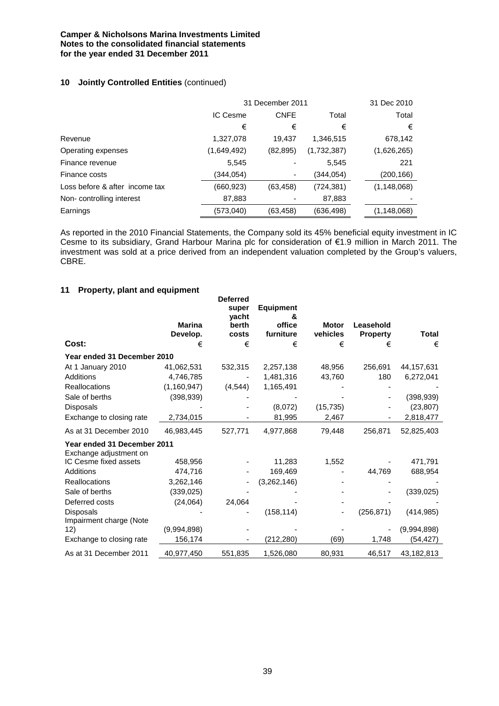## **10 Jointly Controlled Entities** (continued)

|                                |             | 31 December 2011 |             |               |  |
|--------------------------------|-------------|------------------|-------------|---------------|--|
|                                | IC Cesme    | <b>CNFE</b>      | Total       | Total         |  |
|                                | €           | €                | €           | €             |  |
| Revenue                        | 1,327,078   | 19,437           | 1,346,515   | 678,142       |  |
| Operating expenses             | (1,649,492) | (82, 895)        | (1,732,387) | (1,626,265)   |  |
| Finance revenue                | 5,545       |                  | 5,545       | 221           |  |
| Finance costs                  | (344,054)   | ٠                | (344,054)   | (200, 166)    |  |
| Loss before & after income tax | (660, 923)  | (63, 458)        | (724,381)   | (1, 148, 068) |  |
| Non-controlling interest       | 87,883      |                  | 87,883      |               |  |
| Earnings                       | (573,040)   | (63, 458)        | (636,498)   | (1, 148, 068) |  |

As reported in the 2010 Financial Statements, the Company sold its 45% beneficial equity investment in IC Cesme to its subsidiary, Grand Harbour Marina plc for consideration of €1.9 million in March 2011. The investment was sold at a price derived from an independent valuation completed by the Group's valuers, CBRE.

## **11 Property, plant and equipment**

|                                                       | <b>Marina</b><br>Develop. | <b>Deferred</b><br>super<br>vacht<br>berth<br>costs | <b>Equipment</b><br>&<br>office<br>furniture | <b>Motor</b><br>vehicles | Leasehold<br><b>Property</b> | Total       |
|-------------------------------------------------------|---------------------------|-----------------------------------------------------|----------------------------------------------|--------------------------|------------------------------|-------------|
| Cost:                                                 | €                         | €                                                   | €                                            | €                        | €                            | €           |
| Year ended 31 December 2010                           |                           |                                                     |                                              |                          |                              |             |
| At 1 January 2010                                     | 41,062,531                | 532,315                                             | 2,257,138                                    | 48,956                   | 256,691                      | 44,157,631  |
| <b>Additions</b>                                      | 4,746,785                 |                                                     | 1,481,316                                    | 43,760                   | 180                          | 6,272,041   |
| <b>Reallocations</b>                                  | (1, 160, 947)             | (4, 544)                                            | 1,165,491                                    |                          |                              |             |
| Sale of berths                                        | (398, 939)                |                                                     |                                              |                          |                              | (398, 939)  |
| Disposals                                             |                           |                                                     | (8,072)                                      | (15, 735)                |                              | (23, 807)   |
| Exchange to closing rate                              | 2,734,015                 |                                                     | 81,995                                       | 2,467                    |                              | 2,818,477   |
| As at 31 December 2010                                | 46,983,445                | 527,771                                             | 4,977,868                                    | 79,448                   | 256,871                      | 52,825,403  |
| Year ended 31 December 2011<br>Exchange adjustment on |                           |                                                     |                                              |                          |                              |             |
| IC Cesme fixed assets                                 | 458,956                   |                                                     | 11,283                                       | 1,552                    |                              | 471,791     |
| Additions                                             | 474,716                   |                                                     | 169,469                                      |                          | 44,769                       | 688,954     |
| Reallocations                                         | 3,262,146                 |                                                     | (3,262,146)                                  |                          |                              |             |
| Sale of berths                                        | (339, 025)                |                                                     |                                              |                          |                              | (339, 025)  |
| Deferred costs                                        | (24,064)                  | 24,064                                              |                                              |                          |                              |             |
| <b>Disposals</b><br>Impairment charge (Note           |                           |                                                     | (158, 114)                                   |                          | (256, 871)                   | (414, 985)  |
| 12)                                                   | (9,994,898)               |                                                     |                                              |                          |                              | (9,994,898) |
| Exchange to closing rate                              | 156,174                   |                                                     | (212, 280)                                   | (69)                     | 1,748                        | (54, 427)   |
| As at 31 December 2011                                | 40,977,450                | 551,835                                             | 1,526,080                                    | 80,931                   | 46,517                       | 43,182,813  |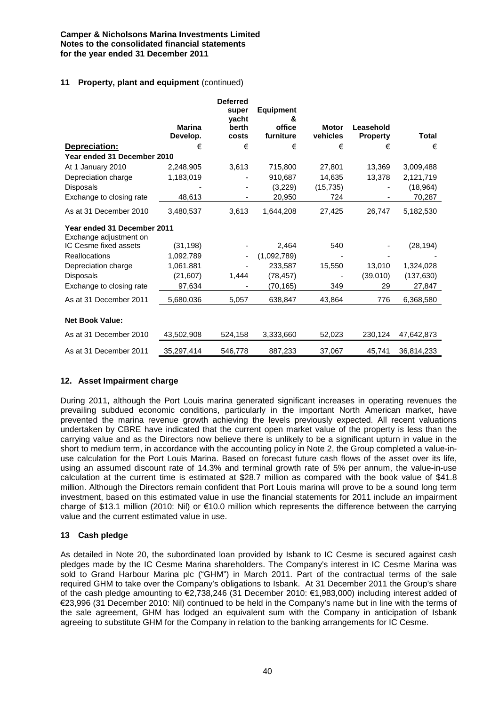## **11 Property, plant and equipment** (continued)

|                                                       | <b>Marina</b><br>Develop. | <b>Deferred</b><br>super<br>vacht<br>berth<br>costs | <b>Equipment</b><br>&<br>office<br>furniture | <b>Motor</b><br>vehicles | Leasehold<br><b>Property</b> | Total      |
|-------------------------------------------------------|---------------------------|-----------------------------------------------------|----------------------------------------------|--------------------------|------------------------------|------------|
| Depreciation:                                         | €                         | €                                                   | €                                            | €                        | €                            | €          |
| Year ended 31 December 2010                           |                           |                                                     |                                              |                          |                              |            |
| At 1 January 2010                                     | 2,248,905                 | 3,613                                               | 715,800                                      | 27,801                   | 13,369                       | 3,009,488  |
| Depreciation charge                                   | 1,183,019                 |                                                     | 910,687                                      | 14,635                   | 13,378                       | 2,121,719  |
| <b>Disposals</b>                                      |                           |                                                     | (3,229)                                      | (15, 735)                |                              | (18, 964)  |
| Exchange to closing rate                              | 48,613                    |                                                     | 20,950                                       | 724                      |                              | 70,287     |
| As at 31 December 2010                                | 3,480,537                 | 3,613                                               | 1.644.208                                    | 27,425                   | 26,747                       | 5,182,530  |
| Year ended 31 December 2011<br>Exchange adjustment on |                           |                                                     |                                              |                          |                              |            |
| IC Cesme fixed assets                                 | (31, 198)                 |                                                     | 2,464                                        | 540                      |                              | (28, 194)  |
| <b>Reallocations</b>                                  | 1,092,789                 |                                                     | (1,092,789)                                  |                          |                              |            |
| Depreciation charge                                   | 1,061,881                 |                                                     | 233,587                                      | 15,550                   | 13,010                       | 1,324,028  |
| Disposals                                             | (21, 607)                 | 1,444                                               | (78, 457)                                    |                          | (39,010)                     | (137, 630) |
| Exchange to closing rate                              | 97,634                    |                                                     | (70,165)                                     | 349                      | 29                           | 27,847     |
| As at 31 December 2011                                | 5,680,036                 | 5,057                                               | 638,847                                      | 43,864                   | 776                          | 6,368,580  |
| <b>Net Book Value:</b>                                |                           |                                                     |                                              |                          |                              |            |
| As at 31 December 2010                                | 43,502,908                | 524,158                                             | 3,333,660                                    | 52,023                   | 230,124                      | 47,642,873 |
| As at 31 December 2011                                | 35,297,414                | 546,778                                             | 887,233                                      | 37,067                   | 45,741                       | 36,814,233 |

## **12. Asset Impairment charge**

During 2011, although the Port Louis marina generated significant increases in operating revenues the prevailing subdued economic conditions, particularly in the important North American market, have prevented the marina revenue growth achieving the levels previously expected. All recent valuations undertaken by CBRE have indicated that the current open market value of the property is less than the carrying value and as the Directors now believe there is unlikely to be a significant upturn in value in the short to medium term, in accordance with the accounting policy in Note 2, the Group completed a value-inuse calculation for the Port Louis Marina. Based on forecast future cash flows of the asset over its life, using an assumed discount rate of 14.3% and terminal growth rate of 5% per annum, the value-in-use calculation at the current time is estimated at \$28.7 million as compared with the book value of \$41.8 million. Although the Directors remain confident that Port Louis marina will prove to be a sound long term investment, based on this estimated value in use the financial statements for 2011 include an impairment charge of \$13.1 million (2010: Nil) or €10.0 million which represents the difference between the carrying value and the current estimated value in use.

## **13 Cash pledge**

As detailed in Note 20, the subordinated loan provided by Isbank to IC Cesme is secured against cash pledges made by the IC Cesme Marina shareholders. The Company's interest in IC Cesme Marina was sold to Grand Harbour Marina plc ("GHM") in March 2011. Part of the contractual terms of the sale required GHM to take over the Company's obligations to Isbank. At 31 December 2011 the Group's share of the cash pledge amounting to €2,738,246 (31 December 2010: €1,983,000) including interest added of €23,996 (31 December 2010: Nil) continued to be held in the Company's name but in line with the terms of the sale agreement, GHM has lodged an equivalent sum with the Company in anticipation of Isbank agreeing to substitute GHM for the Company in relation to the banking arrangements for IC Cesme.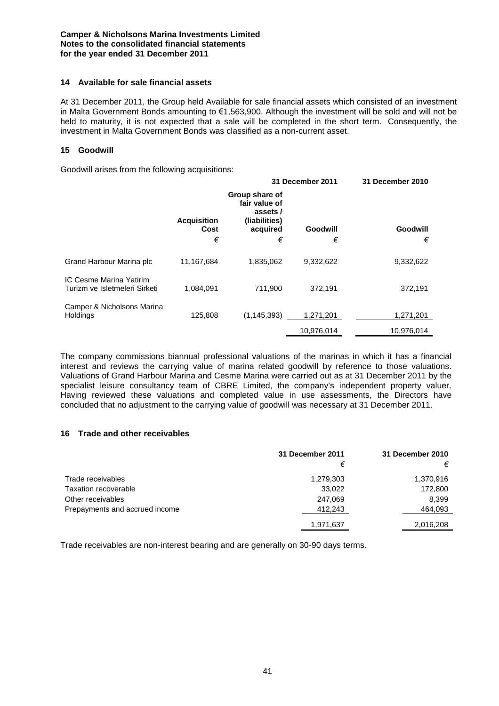## **14 Available for sale financial assets**

At 31 December 2011, the Group held Available for sale financial assets which consisted of an investment in Malta Government Bonds amounting to €1,563,900. Although the investment will be sold and will not be held to maturity, it is not expected that a sale will be completed in the short term. Consequently, the investment in Malta Government Bonds was classified as a non-current asset.

## **15 Goodwill**

Goodwill arises from the following acquisitions:

|                                                          |                    | 31 December 2011                                             |            | 31 December 2010 |
|----------------------------------------------------------|--------------------|--------------------------------------------------------------|------------|------------------|
|                                                          | <b>Acquisition</b> | Group share of<br>fair value of<br>assets /<br>(liabilities) |            |                  |
|                                                          | Cost               | acquired                                                     | Goodwill   | Goodwill         |
|                                                          | €                  | €                                                            | €          | €                |
| Grand Harbour Marina plc                                 | 11,167,684         | 1,835,062                                                    | 9,332,622  | 9,332,622        |
| IC Cesme Marina Yatirim<br>Turizm ve Isletmeleri Sirketi | 1,084,091          | 711,900                                                      | 372,191    | 372,191          |
| Camper & Nicholsons Marina<br><b>Holdings</b>            | 125,808            | (1, 145, 393)                                                | 1,271,201  | 1,271,201        |
|                                                          |                    |                                                              | 10,976,014 | 10,976,014       |

The company commissions biannual professional valuations of the marinas in which it has a financial interest and reviews the carrying value of marina related goodwill by reference to those valuations. Valuations of Grand Harbour Marina and Cesme Marina were carried out as at 31 December 2011 by the specialist leisure consultancy team of CBRE Limited, the company's independent property valuer. Having reviewed these valuations and completed value in use assessments, the Directors have concluded that no adjustment to the carrying value of goodwill was necessary at 31 December 2011.

## **16 Trade and other receivables**

|                                | 31 December 2011 | 31 December 2010 |
|--------------------------------|------------------|------------------|
|                                | €                | €                |
| Trade receivables              | 1,279,303        | 1,370,916        |
| Taxation recoverable           | 33,022           | 172,800          |
| Other receivables              | 247,069          | 8,399            |
| Prepayments and accrued income | 412,243          | 464,093          |
|                                | 1,971,637        | 2,016,208        |

Trade receivables are non-interest bearing and are generally on 30-90 days terms.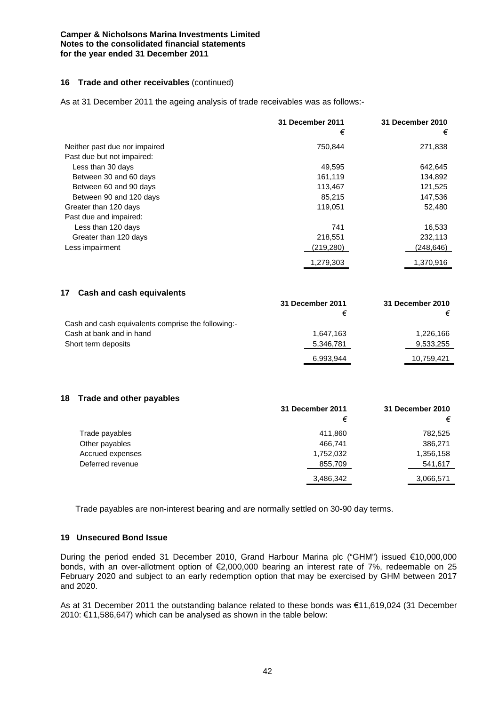## **16 Trade and other receivables** (continued)

As at 31 December 2011 the ageing analysis of trade receivables was as follows:-

|                               | 31 December 2011<br>€ | 31 December 2010<br>€ |
|-------------------------------|-----------------------|-----------------------|
| Neither past due nor impaired | 750.844               | 271,838               |
| Past due but not impaired:    |                       |                       |
| Less than 30 days             | 49,595                | 642,645               |
| Between 30 and 60 days        | 161,119               | 134,892               |
| Between 60 and 90 days        | 113,467               | 121,525               |
| Between 90 and 120 days       | 85,215                | 147,536               |
| Greater than 120 days         | 119,051               | 52,480                |
| Past due and impaired:        |                       |                       |
| Less than 120 days            | 741                   | 16,533                |
| Greater than 120 days         | 218,551               | 232,113               |
| Less impairment               | (219,280)             | (248,646)             |
|                               | 1.279.303             | 1.370.916             |

| 17<br>Cash and cash equivalents                    |                  |                  |
|----------------------------------------------------|------------------|------------------|
|                                                    | 31 December 2011 | 31 December 2010 |
|                                                    | €                | €                |
| Cash and cash equivalents comprise the following:- |                  |                  |
| Cash at bank and in hand                           | 1.647.163        | 1,226,166        |
| Short term deposits                                | 5,346,781        | 9,533,255        |
|                                                    | 6,993,944        | 10,759,421       |

#### **18 Trade and other payables**

|                  | 31 December 2011 | 31 December 2010 |
|------------------|------------------|------------------|
|                  | €                | €                |
| Trade payables   | 411,860          | 782,525          |
| Other payables   | 466,741          | 386,271          |
| Accrued expenses | 1,752,032        | 1,356,158        |
| Deferred revenue | 855,709          | 541,617          |
|                  | 3,486,342        | 3,066,571        |

Trade payables are non-interest bearing and are normally settled on 30-90 day terms.

## **19 Unsecured Bond Issue**

During the period ended 31 December 2010, Grand Harbour Marina plc ("GHM") issued €10,000,000 bonds, with an over-allotment option of €2,000,000 bearing an interest rate of 7%, redeemable on 25 February 2020 and subject to an early redemption option that may be exercised by GHM between 2017 and 2020.

As at 31 December 2011 the outstanding balance related to these bonds was €11,619,024 (31 December 2010: €11,586,647) which can be analysed as shown in the table below: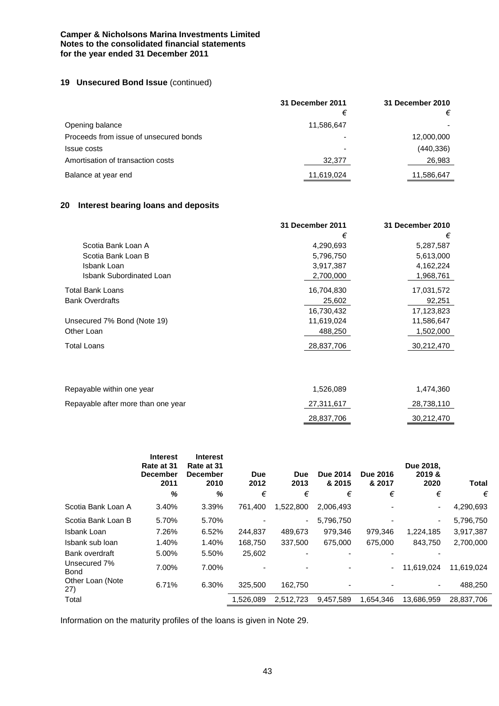## **19 Unsecured Bond Issue** (continued)

|                                        | 31 December 2011 | 31 December 2010 |
|----------------------------------------|------------------|------------------|
|                                        | €                |                  |
| Opening balance                        | 11,586,647       |                  |
| Proceeds from issue of unsecured bonds |                  | 12,000,000       |
| Issue costs                            |                  | (440, 336)       |
| Amortisation of transaction costs      | 32,377           | 26,983           |
| Balance at year end                    | 11,619,024       | 11,586,647       |

## **20 Interest bearing loans and deposits**

|                                 | 31 December 2011 | 31 December 2010 |
|---------------------------------|------------------|------------------|
|                                 | €                | €                |
| Scotia Bank Loan A              | 4,290,693        | 5,287,587        |
| Scotia Bank Loan B              | 5,796,750        | 5,613,000        |
| Isbank Loan                     | 3,917,387        | 4,162,224        |
| <b>Isbank Subordinated Loan</b> | 2,700,000        | 1,968,761        |
| Total Bank Loans                | 16,704,830       | 17,031,572       |
| <b>Bank Overdrafts</b>          | 25,602           | 92,251           |
|                                 | 16,730,432       | 17,123,823       |
| Unsecured 7% Bond (Note 19)     | 11,619,024       | 11,586,647       |
| Other Loan                      | 488,250          | 1,502,000        |
| Total Loans                     | 28,837,706       | 30,212,470       |
|                                 |                  |                  |
|                                 |                  |                  |
|                                 |                  |                  |

| Repayable within one year          | 1.526.089  | 1.474.360  |
|------------------------------------|------------|------------|
| Repayable after more than one year | 27,311,617 | 28,738,110 |
|                                    | 28,837,706 | 30,212,470 |

|                             | <b>Interest</b><br>Rate at 31<br><b>December</b><br>2011<br>% | <b>Interest</b><br>Rate at 31<br>December<br>2010<br>% | Due<br>2012<br>€ | <b>Due</b><br>2013<br>€ | <b>Due 2014</b><br>& 2015<br>€ | <b>Due 2016</b><br>& 2017<br>€ | Due 2018,<br>2019 &<br>2020<br>€ | <b>Total</b><br>€ |
|-----------------------------|---------------------------------------------------------------|--------------------------------------------------------|------------------|-------------------------|--------------------------------|--------------------------------|----------------------------------|-------------------|
|                             |                                                               |                                                        |                  |                         |                                |                                |                                  |                   |
| Scotia Bank Loan A          | 3.40%                                                         | 3.39%                                                  | 761.400          | 1,522,800               | 2,006,493                      |                                | ۰                                | 4,290,693         |
| Scotia Bank Loan B          | 5.70%                                                         | 5.70%                                                  |                  | ۰.                      | 5,796,750                      |                                | ۰                                | 5,796,750         |
| Isbank Loan                 | 7.26%                                                         | 6.52%                                                  | 244,837          | 489,673                 | 979,346                        | 979,346                        | 1,224,185                        | 3,917,387         |
| Isbank sub loan             | 1.40%                                                         | 1.40%                                                  | 168,750          | 337.500                 | 675,000                        | 675,000                        | 843.750                          | 2,700,000         |
| Bank overdraft              | 5.00%                                                         | 5.50%                                                  | 25,602           |                         |                                |                                |                                  |                   |
| Unsecured 7%<br><b>Bond</b> | 7.00%                                                         | 7.00%                                                  |                  |                         |                                | ۰.                             | 11,619,024                       | 11,619,024        |
| Other Loan (Note<br>27)     | 6.71%                                                         | 6.30%                                                  | 325.500          | 162.750                 |                                |                                |                                  | 488,250           |
| Total                       |                                                               |                                                        | 1,526,089        | 2,512,723               | 9.457.589                      | 1.654.346                      | 13.686.959                       | 28,837,706        |

Information on the maturity profiles of the loans is given in Note 29.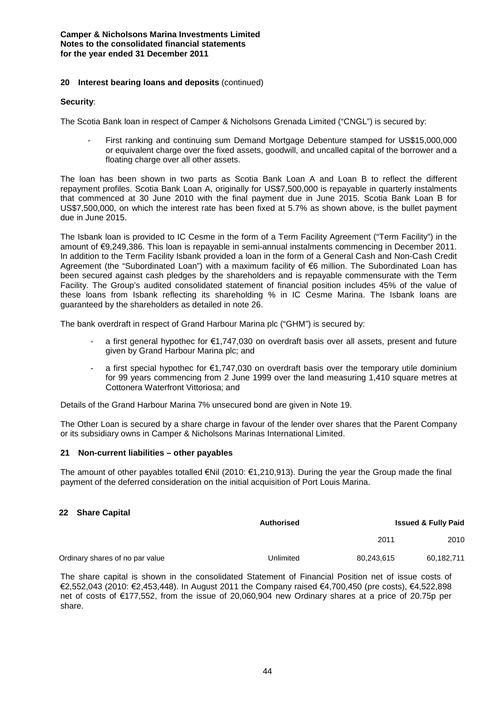## **20 Interest bearing loans and deposits** (continued)

#### **Security**:

The Scotia Bank loan in respect of Camper & Nicholsons Grenada Limited ("CNGL") is secured by:

First ranking and continuing sum Demand Mortgage Debenture stamped for US\$15,000,000 or equivalent charge over the fixed assets, goodwill, and uncalled capital of the borrower and a floating charge over all other assets.

The loan has been shown in two parts as Scotia Bank Loan A and Loan B to reflect the different repayment profiles. Scotia Bank Loan A, originally for US\$7,500,000 is repayable in quarterly instalments that commenced at 30 June 2010 with the final payment due in June 2015. Scotia Bank Loan B for US\$7,500,000, on which the interest rate has been fixed at 5.7% as shown above, is the bullet payment due in June 2015.

The Isbank loan is provided to IC Cesme in the form of a Term Facility Agreement ("Term Facility") in the amount of €9,249,386. This loan is repayable in semi-annual instalments commencing in December 2011. In addition to the Term Facility Isbank provided a loan in the form of a General Cash and Non-Cash Credit Agreement (the "Subordinated Loan") with a maximum facility of €6 million. The Subordinated Loan has been secured against cash pledges by the shareholders and is repayable commensurate with the Term Facility. The Group's audited consolidated statement of financial position includes 45% of the value of these loans from Isbank reflecting its shareholding % in IC Cesme Marina. The Isbank loans are guaranteed by the shareholders as detailed in note 26.

The bank overdraft in respect of Grand Harbour Marina plc ("GHM") is secured by:

- a first general hypothec for €1,747,030 on overdraft basis over all assets, present and future given by Grand Harbour Marina plc; and
- a first special hypothec for €1,747,030 on overdraft basis over the temporary utile dominium for 99 years commencing from 2 June 1999 over the land measuring 1,410 square metres at Cottonera Waterfront Vittoriosa; and

Details of the Grand Harbour Marina 7% unsecured bond are given in Note 19.

The Other Loan is secured by a share charge in favour of the lender over shares that the Parent Company or its subsidiary owns in Camper & Nicholsons Marinas International Limited.

#### **21 Non-current liabilities – other payables**

The amount of other payables totalled €Nil (2010: €1,210,913). During the year the Group made the final payment of the deferred consideration on the initial acquisition of Port Louis Marina.

#### **22 Share Capital**

|                                 | <b>Authorised</b> |            | <b>Issued &amp; Fully Paid</b> |
|---------------------------------|-------------------|------------|--------------------------------|
|                                 |                   | 2011       | 2010                           |
| Ordinary shares of no par value | Unlimited         | 80.243.615 | 60.182.711                     |

The share capital is shown in the consolidated Statement of Financial Position net of issue costs of €2,552,043 (2010: €2,453,448). In August 2011 the Company raised €4,700,450 (pre costs), €4,522,898 net of costs of €177,552, from the issue of 20,060,904 new Ordinary shares at a price of 20.75p per share.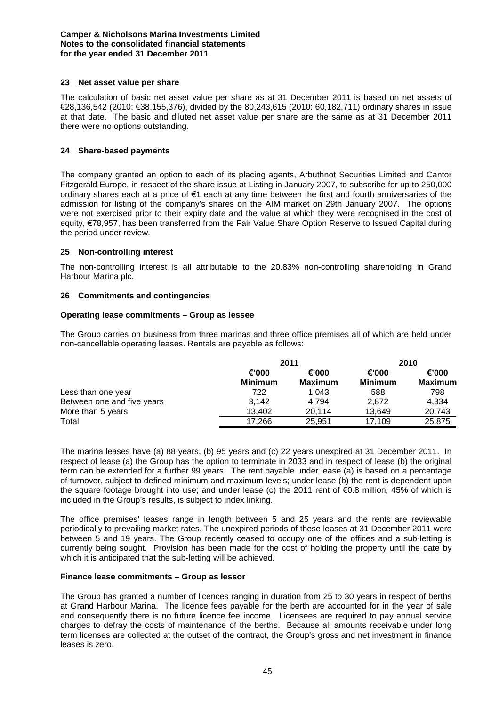## **23 Net asset value per share**

The calculation of basic net asset value per share as at 31 December 2011 is based on net assets of €28,136,542 (2010: €38,155,376), divided by the 80,243,615 (2010: 60,182,711) ordinary shares in issue at that date. The basic and diluted net asset value per share are the same as at 31 December 2011 there were no options outstanding.

## **24 Share-based payments**

The company granted an option to each of its placing agents, Arbuthnot Securities Limited and Cantor Fitzgerald Europe, in respect of the share issue at Listing in January 2007, to subscribe for up to 250,000 ordinary shares each at a price of €1 each at any time between the first and fourth anniversaries of the admission for listing of the company's shares on the AIM market on 29th January 2007. The options were not exercised prior to their expiry date and the value at which they were recognised in the cost of equity, €78,957, has been transferred from the Fair Value Share Option Reserve to Issued Capital during the period under review.

## **25 Non-controlling interest**

The non-controlling interest is all attributable to the 20.83% non-controlling shareholding in Grand Harbour Marina plc.

## **26 Commitments and contingencies**

## **Operating lease commitments – Group as lessee**

The Group carries on business from three marinas and three office premises all of which are held under non-cancellable operating leases. Rentals are payable as follows:

|                            |                         | 2011                    | 2010                    |                  |
|----------------------------|-------------------------|-------------------------|-------------------------|------------------|
|                            | €'000<br><b>Minimum</b> | €'000<br><b>Maximum</b> | €'000<br><b>Minimum</b> | €'000<br>Maximum |
| Less than one year         | 722                     | 1.043                   | 588                     | 798              |
| Between one and five years | 3,142                   | 4.794                   | 2.872                   | 4,334            |
| More than 5 years          | 13.402                  | 20.114                  | 13.649                  | 20,743           |
| Total                      | 17.266                  | 25.951                  | 17.109                  | 25,875           |

The marina leases have (a) 88 years, (b) 95 years and (c) 22 years unexpired at 31 December 2011. In respect of lease (a) the Group has the option to terminate in 2033 and in respect of lease (b) the original term can be extended for a further 99 years. The rent payable under lease (a) is based on a percentage of turnover, subject to defined minimum and maximum levels; under lease (b) the rent is dependent upon the square footage brought into use; and under lease (c) the 2011 rent of €0.8 million, 45% of which is included in the Group's results, is subject to index linking.

The office premises' leases range in length between 5 and 25 years and the rents are reviewable periodically to prevailing market rates. The unexpired periods of these leases at 31 December 2011 were between 5 and 19 years. The Group recently ceased to occupy one of the offices and a sub-letting is currently being sought. Provision has been made for the cost of holding the property until the date by which it is anticipated that the sub-letting will be achieved.

#### **Finance lease commitments – Group as lessor**

The Group has granted a number of licences ranging in duration from 25 to 30 years in respect of berths at Grand Harbour Marina. The licence fees payable for the berth are accounted for in the year of sale and consequently there is no future licence fee income. Licensees are required to pay annual service charges to defray the costs of maintenance of the berths. Because all amounts receivable under long term licenses are collected at the outset of the contract, the Group's gross and net investment in finance leases is zero.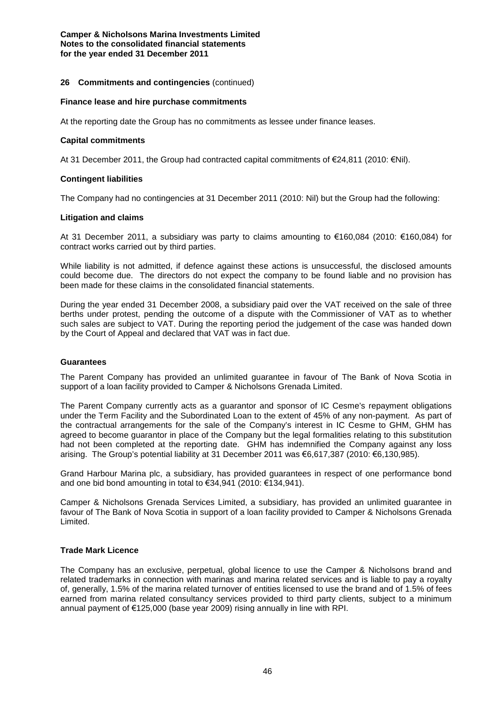## **26 Commitments and contingencies** (continued)

#### **Finance lease and hire purchase commitments**

At the reporting date the Group has no commitments as lessee under finance leases.

#### **Capital commitments**

At 31 December 2011, the Group had contracted capital commitments of €24,811 (2010: €Nil).

#### **Contingent liabilities**

The Company had no contingencies at 31 December 2011 (2010: Nil) but the Group had the following:

#### **Litigation and claims**

At 31 December 2011, a subsidiary was party to claims amounting to €160,084 (2010: €160,084) for contract works carried out by third parties.

While liability is not admitted, if defence against these actions is unsuccessful, the disclosed amounts could become due. The directors do not expect the company to be found liable and no provision has been made for these claims in the consolidated financial statements.

During the year ended 31 December 2008, a subsidiary paid over the VAT received on the sale of three berths under protest, pending the outcome of a dispute with the Commissioner of VAT as to whether such sales are subject to VAT. During the reporting period the judgement of the case was handed down by the Court of Appeal and declared that VAT was in fact due.

#### **Guarantees**

The Parent Company has provided an unlimited guarantee in favour of The Bank of Nova Scotia in support of a loan facility provided to Camper & Nicholsons Grenada Limited.

The Parent Company currently acts as a guarantor and sponsor of IC Cesme's repayment obligations under the Term Facility and the Subordinated Loan to the extent of 45% of any non-payment. As part of the contractual arrangements for the sale of the Company's interest in IC Cesme to GHM, GHM has agreed to become guarantor in place of the Company but the legal formalities relating to this substitution had not been completed at the reporting date. GHM has indemnified the Company against any loss arising. The Group's potential liability at 31 December 2011 was €6,617,387 (2010: €6,130,985).

Grand Harbour Marina plc, a subsidiary, has provided guarantees in respect of one performance bond and one bid bond amounting in total to €34,941 (2010: €134,941).

Camper & Nicholsons Grenada Services Limited, a subsidiary, has provided an unlimited guarantee in favour of The Bank of Nova Scotia in support of a loan facility provided to Camper & Nicholsons Grenada Limited.

#### **Trade Mark Licence**

The Company has an exclusive, perpetual, global licence to use the Camper & Nicholsons brand and related trademarks in connection with marinas and marina related services and is liable to pay a royalty of, generally, 1.5% of the marina related turnover of entities licensed to use the brand and of 1.5% of fees earned from marina related consultancy services provided to third party clients, subject to a minimum annual payment of €125,000 (base year 2009) rising annually in line with RPI.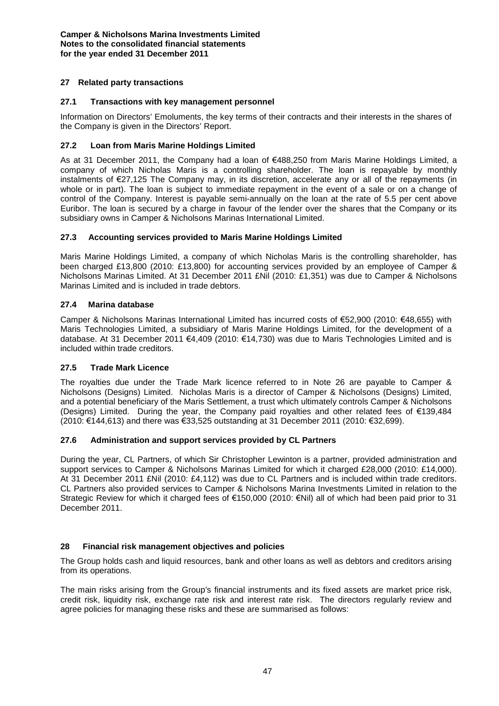## **27 Related party transactions**

## **27.1 Transactions with key management personnel**

Information on Directors' Emoluments, the key terms of their contracts and their interests in the shares of the Company is given in the Directors' Report.

## **27.2 Loan from Maris Marine Holdings Limited**

As at 31 December 2011, the Company had a loan of €488,250 from Maris Marine Holdings Limited, a company of which Nicholas Maris is a controlling shareholder. The loan is repayable by monthly instalments of €27,125 The Company may, in its discretion, accelerate any or all of the repayments (in whole or in part). The loan is subject to immediate repayment in the event of a sale or on a change of control of the Company. Interest is payable semi-annually on the loan at the rate of 5.5 per cent above Euribor. The loan is secured by a charge in favour of the lender over the shares that the Company or its subsidiary owns in Camper & Nicholsons Marinas International Limited.

## **27.3 Accounting services provided to Maris Marine Holdings Limited**

Maris Marine Holdings Limited, a company of which Nicholas Maris is the controlling shareholder, has been charged £13,800 (2010: £13,800) for accounting services provided by an employee of Camper & Nicholsons Marinas Limited. At 31 December 2011 £Nil (2010: £1,351) was due to Camper & Nicholsons Marinas Limited and is included in trade debtors.

## **27.4 Marina database**

Camper & Nicholsons Marinas International Limited has incurred costs of €52,900 (2010: €48,655) with Maris Technologies Limited, a subsidiary of Maris Marine Holdings Limited, for the development of a database. At 31 December 2011 €4,409 (2010: €14,730) was due to Maris Technologies Limited and is included within trade creditors.

## **27.5 Trade Mark Licence**

The royalties due under the Trade Mark licence referred to in Note 26 are payable to Camper & Nicholsons (Designs) Limited. Nicholas Maris is a director of Camper & Nicholsons (Designs) Limited, and a potential beneficiary of the Maris Settlement, a trust which ultimately controls Camper & Nicholsons (Designs) Limited. During the year, the Company paid royalties and other related fees of €139,484 (2010: €144,613) and there was €33,525 outstanding at 31 December 2011 (2010: €32,699).

## **27.6 Administration and support services provided by CL Partners**

During the year, CL Partners, of which Sir Christopher Lewinton is a partner, provided administration and support services to Camper & Nicholsons Marinas Limited for which it charged £28,000 (2010: £14,000). At 31 December 2011 £Nil (2010: £4,112) was due to CL Partners and is included within trade creditors. CL Partners also provided services to Camper & Nicholsons Marina Investments Limited in relation to the Strategic Review for which it charged fees of €150,000 (2010: €Nil) all of which had been paid prior to 31 December 2011.

## **28 Financial risk management objectives and policies**

The Group holds cash and liquid resources, bank and other loans as well as debtors and creditors arising from its operations.

The main risks arising from the Group's financial instruments and its fixed assets are market price risk, credit risk, liquidity risk, exchange rate risk and interest rate risk. The directors regularly review and agree policies for managing these risks and these are summarised as follows: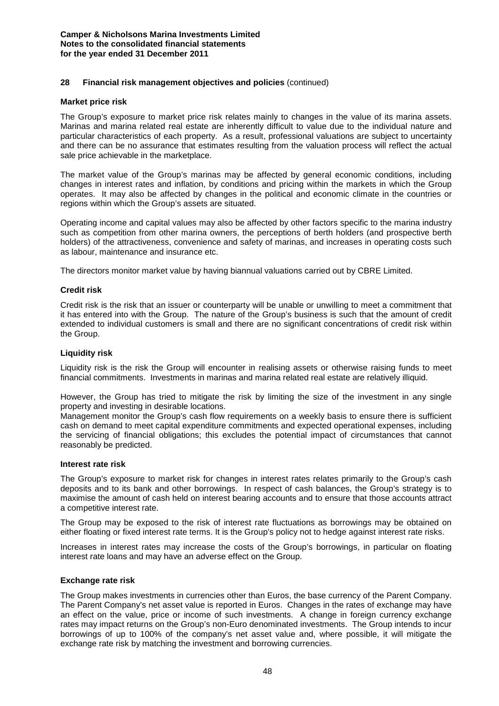## **28 Financial risk management objectives and policies** (continued)

#### **Market price risk**

The Group's exposure to market price risk relates mainly to changes in the value of its marina assets. Marinas and marina related real estate are inherently difficult to value due to the individual nature and particular characteristics of each property. As a result, professional valuations are subject to uncertainty and there can be no assurance that estimates resulting from the valuation process will reflect the actual sale price achievable in the marketplace.

The market value of the Group's marinas may be affected by general economic conditions, including changes in interest rates and inflation, by conditions and pricing within the markets in which the Group operates. It may also be affected by changes in the political and economic climate in the countries or regions within which the Group's assets are situated.

Operating income and capital values may also be affected by other factors specific to the marina industry such as competition from other marina owners, the perceptions of berth holders (and prospective berth holders) of the attractiveness, convenience and safety of marinas, and increases in operating costs such as labour, maintenance and insurance etc.

The directors monitor market value by having biannual valuations carried out by CBRE Limited.

## **Credit risk**

Credit risk is the risk that an issuer or counterparty will be unable or unwilling to meet a commitment that it has entered into with the Group. The nature of the Group's business is such that the amount of credit extended to individual customers is small and there are no significant concentrations of credit risk within the Group.

#### **Liquidity risk**

Liquidity risk is the risk the Group will encounter in realising assets or otherwise raising funds to meet financial commitments. Investments in marinas and marina related real estate are relatively illiquid.

However, the Group has tried to mitigate the risk by limiting the size of the investment in any single property and investing in desirable locations.

Management monitor the Group's cash flow requirements on a weekly basis to ensure there is sufficient cash on demand to meet capital expenditure commitments and expected operational expenses, including the servicing of financial obligations; this excludes the potential impact of circumstances that cannot reasonably be predicted.

#### **Interest rate risk**

The Group's exposure to market risk for changes in interest rates relates primarily to the Group's cash deposits and to its bank and other borrowings. In respect of cash balances, the Group's strategy is to maximise the amount of cash held on interest bearing accounts and to ensure that those accounts attract a competitive interest rate.

The Group may be exposed to the risk of interest rate fluctuations as borrowings may be obtained on either floating or fixed interest rate terms. It is the Group's policy not to hedge against interest rate risks.

Increases in interest rates may increase the costs of the Group's borrowings, in particular on floating interest rate loans and may have an adverse effect on the Group.

#### **Exchange rate risk**

The Group makes investments in currencies other than Euros, the base currency of the Parent Company. The Parent Company's net asset value is reported in Euros. Changes in the rates of exchange may have an effect on the value, price or income of such investments. A change in foreign currency exchange rates may impact returns on the Group's non-Euro denominated investments. The Group intends to incur borrowings of up to 100% of the company's net asset value and, where possible, it will mitigate the exchange rate risk by matching the investment and borrowing currencies.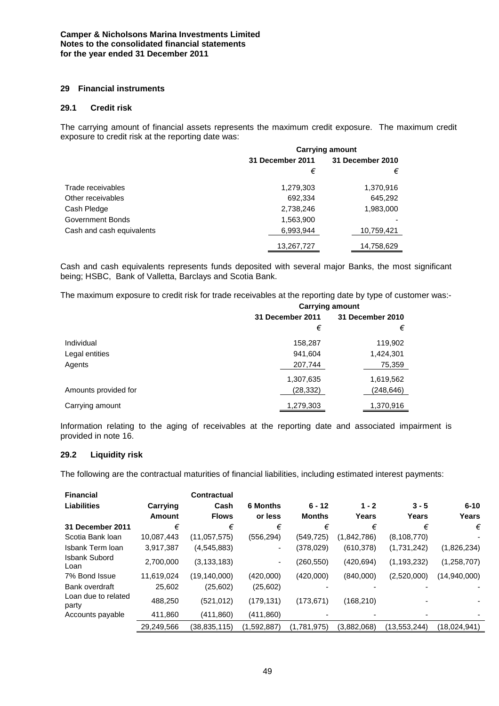## **29 Financial instruments**

## **29.1 Credit risk**

The carrying amount of financial assets represents the maximum credit exposure. The maximum credit exposure to credit risk at the reporting date was:

|                           | <b>Carrying amount</b> |                  |  |  |
|---------------------------|------------------------|------------------|--|--|
|                           | 31 December 2011       | 31 December 2010 |  |  |
|                           | €                      | €                |  |  |
| Trade receivables         | 1,279,303              | 1,370,916        |  |  |
| Other receivables         | 692,334                | 645,292          |  |  |
| Cash Pledge               | 2,738,246              | 1,983,000        |  |  |
| Government Bonds          | 1,563,900              |                  |  |  |
| Cash and cash equivalents | 6,993,944              | 10,759,421       |  |  |
|                           | 13,267,727             | 14,758,629       |  |  |

Cash and cash equivalents represents funds deposited with several major Banks, the most significant being; HSBC, Bank of Valletta, Barclays and Scotia Bank.

The maximum exposure to credit risk for trade receivables at the reporting date by type of customer was:-

|                      | <b>Carrying amount</b> |                  |  |  |
|----------------------|------------------------|------------------|--|--|
|                      | 31 December 2011       | 31 December 2010 |  |  |
|                      | €                      | €                |  |  |
| Individual           | 158,287                | 119,902          |  |  |
| Legal entities       | 941,604                | 1,424,301        |  |  |
| Agents               | 207,744                | 75,359           |  |  |
|                      | 1,307,635              | 1,619,562        |  |  |
| Amounts provided for | (28, 332)              | (248,646)        |  |  |
| Carrying amount      | 1,279,303              | 1,370,916        |  |  |

Information relating to the aging of receivables at the reporting date and associated impairment is provided in note 16.

## **29.2 Liquidity risk**

The following are the contractual maturities of financial liabilities, including estimated interest payments:

| <b>Financial</b>             |            | Contractual    |                 |               |             |                |              |
|------------------------------|------------|----------------|-----------------|---------------|-------------|----------------|--------------|
| <b>Liabilities</b>           | Carrying   | Cash           | <b>6 Months</b> | $6 - 12$      | $1 - 2$     | $3 - 5$        | $6 - 10$     |
|                              | Amount     | <b>Flows</b>   | or less         | <b>Months</b> | Years       | Years          | Years        |
| 31 December 2011             | €          | €              | €               | €             | €           | €              | €            |
| Scotia Bank Ioan             | 10,087,443 | (11, 057, 575) | (556, 294)      | (549, 725)    | (1,842,786) | (8, 108, 770)  |              |
| Isbank Term Ioan             | 3,917,387  | (4, 545, 883)  | ۰.              | (378, 029)    | (610, 378)  | (1,731,242)    | (1,826,234)  |
| <b>Isbank Subord</b><br>Loan | 2,700,000  | (3, 133, 183)  | ٠               | (260,550)     | (420, 694)  | (1, 193, 232)  | (1,258,707)  |
| 7% Bond Issue                | 11,619,024 | (19, 140, 000) | (420,000)       | (420,000)     | (840,000)   | (2,520,000)    | (14,940,000) |
| Bank overdraft               | 25,602     | (25,602)       | (25,602)        |               |             |                |              |
| Loan due to related<br>party | 488,250    | (521, 012)     | (179, 131)      | (173, 671)    | (168, 210)  |                |              |
| Accounts payable             | 411,860    | (411,860)      | (411,860)       |               |             |                |              |
|                              | 29,249,566 | (38, 835, 115) | (1,592,887)     | (1,781,975)   | (3,882,068) | (13, 553, 244) | (18,024,941) |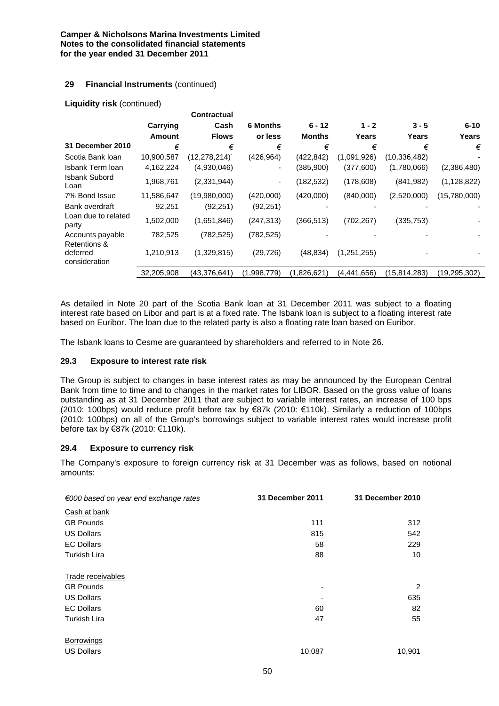## **29 Financial Instruments** (continued)

#### **Liquidity risk** (continued)

|                                           |            | <b>Contractual</b> |                 |               |             |              |               |
|-------------------------------------------|------------|--------------------|-----------------|---------------|-------------|--------------|---------------|
|                                           | Carrying   | Cash               | <b>6 Months</b> | $6 - 12$      | $1 - 2$     | $3 - 5$      | $6 - 10$      |
|                                           | Amount     | <b>Flows</b>       | or less         | <b>Months</b> | Years       | Years        | Years         |
| 31 December 2010                          | €          | €                  | €               | €             | €           | €            | €             |
| Scotia Bank Ioan                          | 10,900,587 | (12,278,214)       | (426, 964)      | (422, 842)    | (1,091,926) | (10,336,482) |               |
| Isbank Term Ioan                          | 4,162,224  | (4,930,046)        | ۰               | (385,900)     | (377,600)   | (1,780,066)  | (2,386,480)   |
| <b>Isbank Subord</b><br>Loan              | 1,968,761  | (2,331,944)        | ۰               | (182,532)     | (178, 608)  | (841, 982)   | (1, 128, 822) |
| 7% Bond Issue                             | 11,586,647 | (19,980,000)       | (420,000)       | (420,000)     | (840,000)   | (2,520,000)  | (15,780,000)  |
| Bank overdraft                            | 92,251     | (92, 251)          | (92, 251)       |               |             |              |               |
| Loan due to related<br>party              | 1,502,000  | (1,651,846)        | (247, 313)      | (366, 513)    | (702, 267)  | (335, 753)   |               |
| Accounts payable                          | 782,525    | (782, 525)         | (782, 525)      |               |             |              |               |
| Retentions &<br>deferred<br>consideration | 1,210,913  | (1,329,815)        | (29, 726)       | (48, 834)     | (1,251,255) |              |               |
|                                           | 32,205,908 | (43, 376, 641)     | (1,998,779)     | (1,826,621)   | (4,441,656) | (15,814,283) | (19,295,302)  |

As detailed in Note 20 part of the Scotia Bank loan at 31 December 2011 was subject to a floating interest rate based on Libor and part is at a fixed rate. The Isbank loan is subject to a floating interest rate based on Euribor. The loan due to the related party is also a floating rate loan based on Euribor.

The Isbank loans to Cesme are guaranteed by shareholders and referred to in Note 26.

#### **29.3 Exposure to interest rate risk**

The Group is subject to changes in base interest rates as may be announced by the European Central Bank from time to time and to changes in the market rates for LIBOR. Based on the gross value of loans outstanding as at 31 December 2011 that are subject to variable interest rates, an increase of 100 bps (2010: 100bps) would reduce profit before tax by €87k (2010: €110k). Similarly a reduction of 100bps (2010: 100bps) on all of the Group's borrowings subject to variable interest rates would increase profit before tax by €87k (2010: €110k).

#### **29.4 Exposure to currency risk**

The Company's exposure to foreign currency risk at 31 December was as follows, based on notional amounts:

| $\epsilon$ 000 based on year end exchange rates | 31 December 2011 | 31 December 2010 |
|-------------------------------------------------|------------------|------------------|
| Cash at bank                                    |                  |                  |
| <b>GB Pounds</b>                                | 111              | 312              |
| <b>US Dollars</b>                               | 815              | 542              |
| <b>EC Dollars</b>                               | 58               | 229              |
| <b>Turkish Lira</b>                             | 88               | 10               |
| <b>Trade receivables</b>                        |                  |                  |
| <b>GB Pounds</b>                                | ۰                | 2                |
| <b>US Dollars</b>                               |                  | 635              |
| <b>EC Dollars</b>                               | 60               | 82               |
| <b>Turkish Lira</b>                             | 47               | 55               |
| Borrowings                                      |                  |                  |
| <b>US Dollars</b>                               | 10,087           | 10,901           |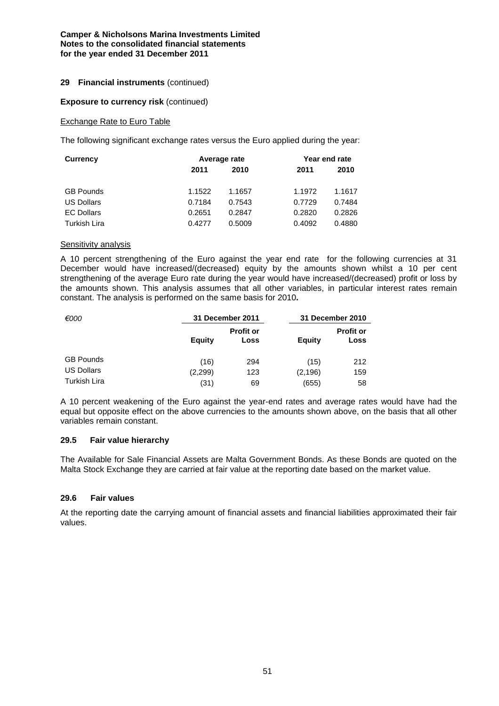## **29 Financial instruments** (continued)

#### **Exposure to currency risk (continued)**

#### Exchange Rate to Euro Table

The following significant exchange rates versus the Euro applied during the year:

| <b>Currency</b>   | Average rate |        | Year end rate |        |  |
|-------------------|--------------|--------|---------------|--------|--|
|                   | 2011         | 2010   | 2011          | 2010   |  |
|                   | 1.1522       | 1.1657 | 1.1972        |        |  |
| <b>GB Pounds</b>  |              |        |               | 1.1617 |  |
| <b>US Dollars</b> | 0.7184       | 0.7543 | 0.7729        | 0.7484 |  |
| <b>EC Dollars</b> | 0.2651       | 0.2847 | 0.2820        | 0.2826 |  |
| Turkish Lira      | 0.4277       | 0.5009 | 0.4092        | 0.4880 |  |

#### Sensitivity analysis

A 10 percent strengthening of the Euro against the year end rate for the following currencies at 31 December would have increased/(decreased) equity by the amounts shown whilst a 10 per cent strengthening of the average Euro rate during the year would have increased/(decreased) profit or loss by the amounts shown. This analysis assumes that all other variables, in particular interest rates remain constant. The analysis is performed on the same basis for 2010**.**

| €000                |               | 31 December 2011         |               | 31 December 2010         |
|---------------------|---------------|--------------------------|---------------|--------------------------|
|                     | <b>Equity</b> | <b>Profit or</b><br>Loss | <b>Equity</b> | <b>Profit or</b><br>Loss |
| <b>GB Pounds</b>    | (16)          | 294                      | (15)          | 212                      |
| <b>US Dollars</b>   | (2,299)       | 123                      | (2, 196)      | 159                      |
| <b>Turkish Lira</b> | (31)          | 69                       | (655)         | 58                       |

A 10 percent weakening of the Euro against the year-end rates and average rates would have had the equal but opposite effect on the above currencies to the amounts shown above, on the basis that all other variables remain constant.

#### **29.5 Fair value hierarchy**

The Available for Sale Financial Assets are Malta Government Bonds. As these Bonds are quoted on the Malta Stock Exchange they are carried at fair value at the reporting date based on the market value.

## **29.6 Fair values**

At the reporting date the carrying amount of financial assets and financial liabilities approximated their fair values.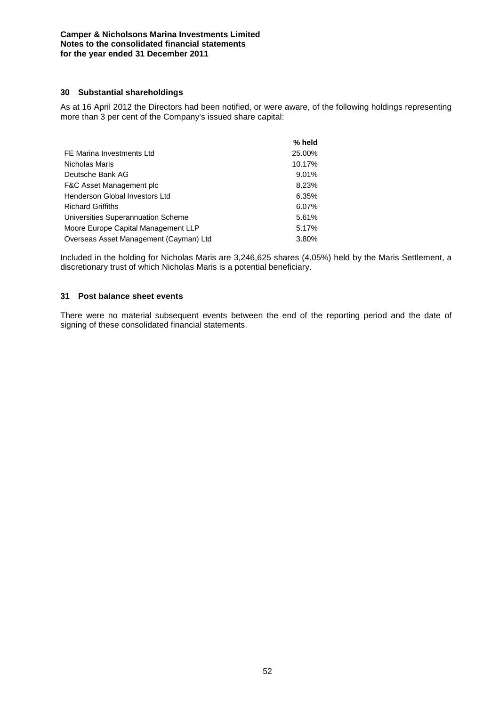## **30 Substantial shareholdings**

As at 16 April 2012 the Directors had been notified, or were aware, of the following holdings representing more than 3 per cent of the Company's issued share capital:

|                                        | % held |
|----------------------------------------|--------|
| FE Marina Investments Ltd              | 25.00% |
| Nicholas Maris                         | 10.17% |
| Deutsche Bank AG                       | 9.01%  |
| F&C Asset Management plc               | 8.23%  |
| Henderson Global Investors Ltd         | 6.35%  |
| <b>Richard Griffiths</b>               | 6.07%  |
| Universities Superannuation Scheme     | 5.61%  |
| Moore Europe Capital Management LLP    | 5.17%  |
| Overseas Asset Management (Cayman) Ltd | 3.80%  |

Included in the holding for Nicholas Maris are 3,246,625 shares (4.05%) held by the Maris Settlement, a discretionary trust of which Nicholas Maris is a potential beneficiary.

## **31 Post balance sheet events**

There were no material subsequent events between the end of the reporting period and the date of signing of these consolidated financial statements.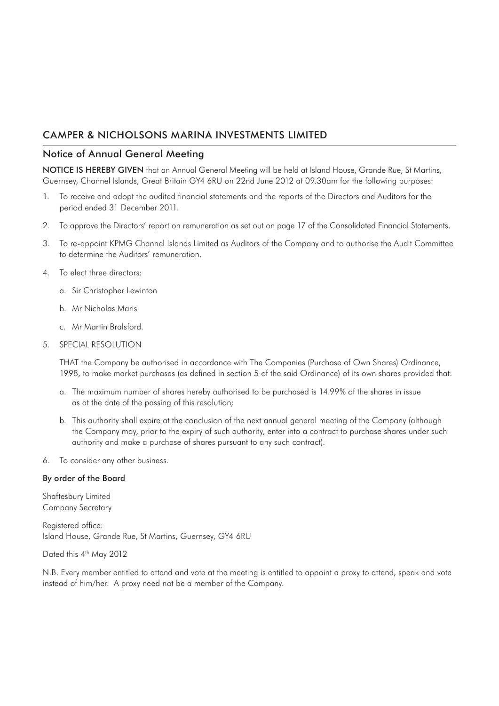## Notice of Annual General Meeting

NOTICE IS HEREBY GIVEN that an Annual General Meeting will be held at Island House, Grande Rue, St Martins, Guernsey, Channel Islands, Great Britain GY4 6RU on 22nd June 2012 at 09.30am for the following purposes:

- 1. To receive and adopt the audited financial statements and the reports of the Directors and Auditors for the period ended 31 December 2011.
- 2. To approve the Directors' report on remuneration as set out on page 17 of the Consolidated Financial Statements.
- 3. To re-appoint KPMG Channel Islands Limited as Auditors of the Company and to authorise the Audit Committee to determine the Auditors' remuneration.
- 4. To elect three directors:
	- a. Sir Christopher Lewinton
	- b. Mr Nicholas Maris
	- c. Mr Martin Bralsford.

## 5. SPECIAL RESOLUTION

 THAT the Company be authorised in accordance with The Companies (Purchase of Own Shares) Ordinance, 1998, to make market purchases (as defined in section 5 of the said Ordinance) of its own shares provided that:

- a. The maximum number of shares hereby authorised to be purchased is 14.99% of the shares in issue as at the date of the passing of this resolution;
- b. This authority shall expire at the conclusion of the next annual general meeting of the Company (although the Company may, prior to the expiry of such authority, enter into a contract to purchase shares under such authority and make a purchase of shares pursuant to any such contract).
- 6. To consider any other business.

## By order of the Board

Shaftesbury Limited Company Secretary

Registered office: Island House, Grande Rue, St Martins, Guernsey, GY4 6RU

Dated this 4<sup>th</sup> May 2012

N.B. Every member entitled to attend and vote at the meeting is entitled to appoint a proxy to attend, speak and vote instead of him/her. A proxy need not be a member of the Company.